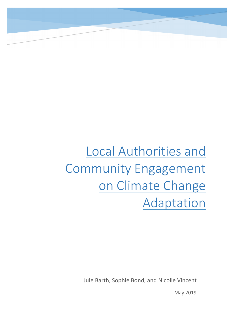# Local Authorities and Community Engagement on Climate Change Adaptation

Jule Barth, Sophie Bond, and Nicolle Vincent

May 2019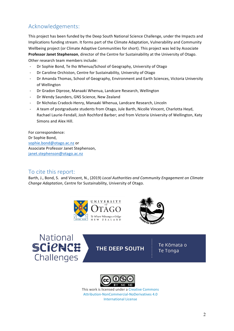# Acknowledgements:

This project has been funded by the Deep South National Science Challenge, under the Impacts and Implications funding stream. It forms part of the Climate Adaptation, Vulnerability and Community Wellbeing project (or Climate Adaptive Communities for short). This project was led by Associate **Professor Janet Stephenson**, director of the Centre for Sustainability at the University of Otago. Other research team members include:

- Dr Sophie Bond, Te Iho Whenua/School of Geography, University of Otago
- Dr Caroline Orchiston, Centre for Sustainability, University of Otago
- Dr Amanda Thomas, School of Geography, Environment and Earth Sciences, Victoria University of Wellington
- Dr Gradon Diprose, Manaaki Whenua, Landcare Research, Wellington
- Dr Wendy Saunders, GNS Science, New Zealand
- Dr Nicholas Cradock-Henry, Manaaki Whenua, Landcare Research, Lincoln
- A team of postgraduate students from Otago, Jule Barth, Nicolle Vincent, Charlotta Heyd, Rachael Laurie-Fendall, Josh Rochford Barber; and from Victoria University of Wellington, Katy Simons and Alex Hill.

For correspondence: Dr Sophie Bond, sophie.bond@otago.ac.nz or Associate Professor Janet Stephenson, janet.stephenson@otago.ac.nz

## To cite this report:

Barth, J., Bond, S. and Vincent, N., (2019) *Local Authorities and Community Engagement on Climate Change Adaptation, Centre for Sustainability, University of Otago.* 







**THE DEEP SOUTH** 

Te Kōmata o Te Tonga



This work is licensed under a Creative Commons Attribution-NonCommercial-NoDerivatives 4.0 International License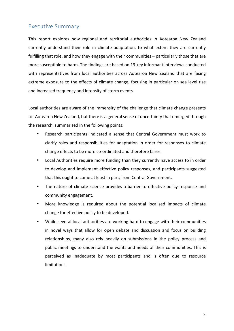## Executive Summary

This report explores how regional and territorial authorities in Aotearoa New Zealand currently understand their role in climate adaptation, to what extent they are currently fulfilling that role, and how they engage with their communities – particularly those that are more susceptible to harm. The findings are based on 13 key informant interviews conducted with representatives from local authorities across Aotearoa New Zealand that are facing extreme exposure to the effects of climate change, focusing in particular on sea level rise and increased frequency and intensity of storm events.

Local authorities are aware of the immensity of the challenge that climate change presents for Aotearoa New Zealand, but there is a general sense of uncertainty that emerged through the research, summarised in the following points:

- Research participants indicated a sense that Central Government must work to clarify roles and responsibilities for adaptation in order for responses to climate change effects to be more co-ordinated and therefore fairer.
- Local Authorities require more funding than they currently have access to in order to develop and implement effective policy responses, and participants suggested that this ought to come at least in part, from Central Government.
- The nature of climate science provides a barrier to effective policy response and community engagement.
- More knowledge is required about the potential localised impacts of climate change for effective policy to be developed.
- While several local authorities are working hard to engage with their communities in novel ways that allow for open debate and discussion and focus on building relationships, many also rely heavily on submissions in the policy process and public meetings to understand the wants and needs of their communities. This is perceived as inadequate by most participants and is often due to resource limitations.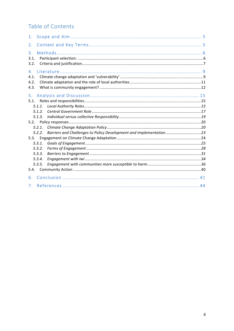# Table of Contents

| 1.                         |                                      |                                                                     |  |
|----------------------------|--------------------------------------|---------------------------------------------------------------------|--|
| 2.                         |                                      |                                                                     |  |
| 3.<br>3.1.<br>3.2.         |                                      |                                                                     |  |
| 4.<br>4.1.<br>4.2.<br>4.3. |                                      |                                                                     |  |
| 5.<br>5.1.                 | 5.1.1.<br>5.1.2.                     |                                                                     |  |
| 5.2.                       | 5.1.3.<br>5.2.1.                     |                                                                     |  |
| 5.3.                       | 5.2.2.<br>5.3.1.<br>5.3.2.<br>5.3.3. | Barriers and Challenges to Policy Development and Implementation 23 |  |
|                            | 5.3.4.<br>5.3.5.                     |                                                                     |  |
| 6.<br>7.                   |                                      |                                                                     |  |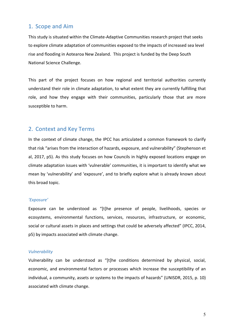## 1. Scope and Aim

This study is situated within the Climate-Adaptive Communities research project that seeks to explore climate adaptation of communities exposed to the impacts of increased sea level rise and flooding in Aotearoa New Zealand. This project is funded by the Deep South National Science Challenge.

This part of the project focuses on how regional and territorial authorities currently understand their role in climate adaptation, to what extent they are currently fulfilling that role, and how they engage with their communities, particularly those that are more susceptible to harm.

## 2. Context and Key Terms

In the context of climate change, the IPCC has articulated a common framework to clarify that risk "arises from the interaction of hazards, exposure, and vulnerability" (Stephenson et al, 2017, p5). As this study focuses on how Councils in highly exposed locations engage on climate adaptation issues with 'vulnerable' communities, it is important to identify what we mean by 'vulnerability' and 'exposure', and to briefly explore what is already known about this broad topic.

## *'Exposure'*

Exposure can be understood as "[t]he presence of people, livelihoods, species or ecosystems, environmental functions, services, resources, infrastructure, or economic, social or cultural assets in places and settings that could be adversely affected" (IPCC, 2014, p5) by impacts associated with climate change.

#### *Vulnerability*

Vulnerability can be understood as "[t]he conditions determined by physical, social, economic, and environmental factors or processes which increase the susceptibility of an individual, a community, assets or systems to the impacts of hazards" (UNISDR, 2015, p. 10) associated with climate change.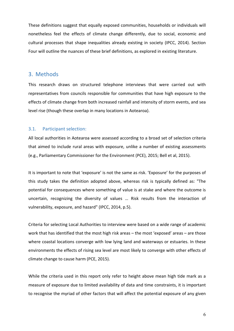These definitions suggest that equally exposed communities, households or individuals will nonetheless feel the effects of climate change differently, due to social, economic and cultural processes that shape inequalities already existing in society (IPCC, 2014). Section Four will outline the nuances of these brief definitions, as explored in existing literature.

## 3. Methods

This research draws on structured telephone interviews that were carried out with representatives from councils responsible for communities that have high exposure to the effects of climate change from both increased rainfall and intensity of storm events, and sea level rise (though these overlap in many locations in Aotearoa).

#### 3.1. Participant selection:

All local authorities in Aotearoa were assessed according to a broad set of selection criteria that aimed to include rural areas with exposure, unlike a number of existing assessments (e.g., Parliamentary Commissioner for the Environment (PCE), 2015; Bell et al, 2015).

It is important to note that 'exposure' is not the same as risk. 'Exposure' for the purposes of this study takes the definition adopted above, whereas risk is typically defined as: "The potential for consequences where something of value is at stake and where the outcome is uncertain, recognizing the diversity of values ... Risk results from the interaction of vulnerability, exposure, and hazard" (IPCC, 2014, p.5).

Criteria for selecting Local Authorities to interview were based on a wide range of academic work that has identified that the most high risk areas  $-$  the most 'exposed' areas  $-$  are those where coastal locations converge with low lying land and waterways or estuaries. In these environments the effects of rising sea level are most likely to converge with other effects of climate change to cause harm (PCE, 2015).

While the criteria used in this report only refer to height above mean high tide mark as a measure of exposure due to limited availability of data and time constraints, it is important to recognise the myriad of other factors that will affect the potential exposure of any given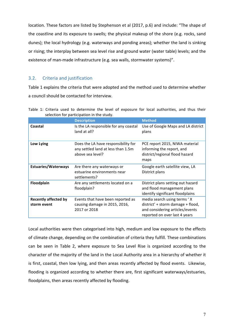location. These factors are listed by Stephenson et al (2017, p.6) and include: "The shape of the coastline and its exposure to swells; the physical makeup of the shore (e.g. rocks, sand dunes); the local hydrology (e.g. waterways and ponding areas); whether the land is sinking or rising; the interplay between sea level rise and ground water (water table) levels; and the existence of man-made infrastructure (e.g. sea walls, stormwater systems)".

## 3.2. Criteria and justification

Table 1 explains the criteria that were adopted and the method used to determine whether a council should be contacted for interview.

|                                            | <b>Description</b>                                                                            | <b>Method</b>                                                                                                                        |
|--------------------------------------------|-----------------------------------------------------------------------------------------------|--------------------------------------------------------------------------------------------------------------------------------------|
| Coastal                                    | Is the LA responsible for any coastal<br>land at all?                                         | Use of Google Maps and LA district<br>plans                                                                                          |
| Low Lying                                  | Does the LA have responsibility for<br>any settled land at less than 1.5m<br>above sea level? | PCE report 2015, NIWA material<br>informing the report, and<br>district/regional flood hazard<br>maps                                |
| <b>Estuaries/Waterways</b>                 | Are there any waterways or<br>estuarine environments near<br>settlements?                     | Google earth satellite view, LA<br>District plans                                                                                    |
| Floodplain                                 | Are any settlements located on a<br>floodplain?                                               | District plans setting out hazard<br>and flood management plans<br>identify significant floodplains                                  |
| <b>Recently affected by</b><br>storm event | Events that have been reported as<br>causing damage in 2015, 2016,<br>2017 or 2018            | media search using terms 'X<br>district' + storm damage + flood,<br>and considering articles/events<br>reported on over last 4 years |

|  |  |                                           |  |  |  | Table 1: Criteria used to determine the level of exposure for local authorities, and thus their |  |  |
|--|--|-------------------------------------------|--|--|--|-------------------------------------------------------------------------------------------------|--|--|
|  |  | selection for participation in the study. |  |  |  |                                                                                                 |  |  |

Local authorities were then categorised into high, medium and low exposure to the effects of climate change, depending on the combination of criteria they fulfill. These combinations can be seen in Table 2, where exposure to Sea Level Rise is organized according to the character of the majority of the land in the Local Authority area in a hierarchy of whether it is first, coastal, then low lying, and then areas recently affected by flood events. Likewise, flooding is organized according to whether there are, first significant waterways/estuaries, floodplains, then areas recently affected by flooding.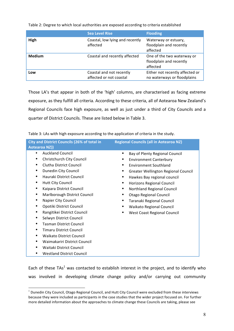Table 2: Degree to which local authorities are exposed according to criteria established

|               | <b>Sea Level Rise</b>                               | <b>Flooding</b>                                                   |
|---------------|-----------------------------------------------------|-------------------------------------------------------------------|
| High          | Coastal, low lying and recently<br>affected         | Waterway or estuary,<br>floodplain and recently<br>affected       |
| <b>Medium</b> | Coastal and recently affected                       | One of the two waterway or<br>floodplain and recently<br>affected |
| LOW           | Coastal and not recently<br>affected or not coastal | Either not recently affected or<br>no waterways or floodplains    |

Those LA's that appear in both of the 'high' columns, are characterised as facing extreme exposure, as they fulfill all criteria. According to these criteria, all of Aotearoa New Zealand's Regional Councils face high exposure, as well as just under a third of City Councils and a quarter of District Councils. These are listed below in Table 3.

Table 3: LAs with high exposure according to the application of criteria in the study.

| <b>City and District Councils (26% of total in</b><br><b>Aotearoa NZ))</b>                                                                                                                                                                                                                                         | <b>Regional Councils (all in Aotearoa NZ)</b>                                                                                                                                                                                                                    |
|--------------------------------------------------------------------------------------------------------------------------------------------------------------------------------------------------------------------------------------------------------------------------------------------------------------------|------------------------------------------------------------------------------------------------------------------------------------------------------------------------------------------------------------------------------------------------------------------|
| <b>Auckland Council</b><br>$\bullet$<br>Christchurch City Council<br>Clutha District Council<br>٠                                                                                                                                                                                                                  | Bay of Plenty Regional Council<br>٠<br><b>Environment Canterbury</b><br>Environment Southland                                                                                                                                                                    |
| Dunedin City Council<br>٠<br>Hauraki District Council<br>٠<br><b>Hutt City Council</b><br>٠<br>Kaipara District Council<br>٠<br>Marlborough District Council<br>$\bullet$<br>٠<br>Napier City Council<br>Opotiki District Council<br>٠<br>Rangitikei District Council<br>٠<br>Selwyn District Council<br>$\bullet$ | Greater Wellington Regional Council<br>٠<br>Hawkes Bay regional council<br>Horizons Regional Council<br>Northland Regional Council<br>٠<br>Otago Regional Council<br>Taranaki Regional Council<br>Waikato Regional Council<br><b>West Coast Regional Council</b> |
| <b>Tasman District Council</b><br>٠<br><b>Timaru District Council</b><br>٠<br><b>Waikato District Council</b><br>$\bullet$<br>Waimakariri District Council<br>٠<br>Waitaki District Council<br>٠<br><b>Westland District Council</b><br>٠                                                                          |                                                                                                                                                                                                                                                                  |

Each of these  $TAs<sup>1</sup>$  was contacted to establish interest in the project, and to identify who was involved in developing climate change policy and/or carrying out community

 $1$  Dunedin City Council, Otago Regional Council, and Hutt City Council were excluded from these interviews because they were included as participants in the case studies that the wider project focused on. For further more detailed information about the approaches to climate change these Councils are taking, please see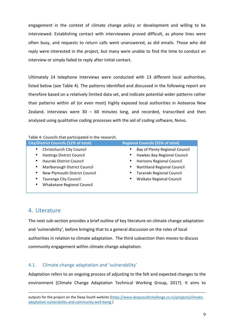engagement in the context of climate change policy or development and willing to be interviewed. Establishing contact with interviewees proved difficult, as phone lines were often busy, and requests to return calls went unanswered, as did emails. Those who did reply were interested in the project, but many were unable to find the time to conduct an interview or simply failed to reply after initial contact.

Ultimately 14 telephone interviews were conducted with 13 different local authorities, listed below (see Table 4). The patterns identified and discussed in the following report are therefore based on a relatively limited data set, and indicate potential wider patterns rather than patterns within all (or even most) highly exposed local authorities in Aotearoa New Zealand. Interviews were  $30 - 60$  minutes long, and recorded, transcribed and then analysed using qualitative coding processes with the aid of coding software, Nvivo.

| Table 4: Councils that participated in the research. |
|------------------------------------------------------|
|------------------------------------------------------|

| <b>City/District Councils (12% of total)</b> | <b>Regional Councils (55% of total)</b> |
|----------------------------------------------|-----------------------------------------|
| Christchurch City Council<br>٠               | Bay of Plenty Regional Council          |
| <b>Hastings District Council</b><br>٠        | Hawkes Bay Regional Council             |
| Hauraki District Council<br>٠                | <b>Horizons Regional Council</b>        |
| Marlborough District Council<br>٠            | Northland Regional Council              |
| New Plymouth District Council<br>٠           | Taranaki Regional Council               |
| Tauranga City Council                        | Waikato Regional Council                |
| Whakatane Regional Council<br>٠              |                                         |
|                                              |                                         |

## 4. Literature

<u>.</u>

The next sub-section provides a brief outline of key literature on climate change adaptation and 'vulnerability', before bringing that to a general discussion on the roles of local authorities in relation to climate adaptation. The third subsection then moves to discuss community engagement within climate change adaptation.

## 4.1. Climate change adaptation and 'vulnerability'

Adaptation refers to an ongoing process of adjusting to the felt and expected changes to the environment (Climate Change Adaptation Technical Working Group, 2017). It aims to

outputs for the project on the Deep South website (https://www.deepsouthchallenge.co.nz/projects/climateadaptation-vulnerability-and-community-well-being )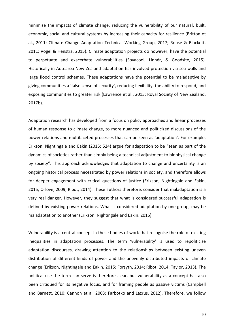minimise the impacts of climate change, reducing the vulnerability of our natural, built, economic, social and cultural systems by increasing their capacity for resilience (Britton et al., 2011; Climate Change Adaptation Technical Working Group, 2017; Rouse & Blackett, 2011; Vogel & Henstra, 2015). Climate adaptation projects do however, have the potential to perpetuate and exacerbate vulnerabilities (Sovacool, Linnér, & Goodsite, 2015). Historically in Aotearoa New Zealand adaptation has involved protection via sea walls and large flood control schemes. These adaptations have the potential to be maladaptive by giving communities a 'false sense of security', reducing flexibility, the ability to respond, and exposing communities to greater risk (Lawrence et al., 2015; Royal Society of New Zealand, 2017b).

Adaptation research has developed from a focus on policy approaches and linear processes of human response to climate change, to more nuanced and politicized discussions of the power relations and multifaceted processes that can be seen as 'adaptation'. For example, Erikson, Nightingale and Eakin (2015: 524) argue for adaptation to be "seen as part of the dynamics of societies rather than simply being a technical adjustment to biophysical change by society". This approach acknowledges that adaptation to change and uncertainty is an ongoing historical process necessitated by power relations in society, and therefore allows for deeper engagement with critical questions of justice (Erikson, Nightingale and Eakin, 2015; Orlove, 2009; Ribot, 2014). These authors therefore, consider that maladaptation is a very real danger. However, they suggest that what is considered successful adaptation is defined by existing power relations. What is considered adaptation by one group, may be maladaptation to another (Erikson, Nightingale and Eakin, 2015).

Vulnerability is a central concept in these bodies of work that recognise the role of existing inequalities in adaptation processes. The term 'vulnerability' is used to repoliticise adaptation discourses, drawing attention to the relationships between existing uneven distribution of different kinds of power and the unevenly distributed impacts of climate change (Erikson, Nightingale and Eakin, 2015; Forsyth, 2014; Ribot, 2014; Taylor, 2013). The political use the term can serve is therefore clear, but vulnerability as a concept has also been critiqued for its negative focus, and for framing people as passive victims (Campbell and Barnett, 2010; Cannon et al, 2003; Farbotko and Lazrus, 2012). Therefore, we follow

10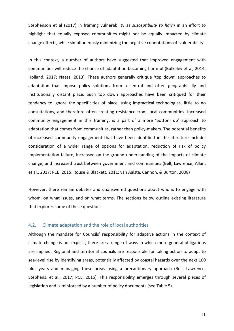Stephenson et al (2017) in framing vulnerability as *susceptibility* to harm in an effort to highlight that equally exposed communities might not be equally impacted by climate change effects, while simultaneously minimizing the negative connotations of 'vulnerability'.

In this context, a number of authors have suggested that improved engagement with communities will reduce the chance of adaptation becoming harmful (Bulkeley et al, 2014; Holland, 2017; Naess, 2013). These authors generally critique 'top down' approaches to adaptation that impose policy solutions from a central and often geographically and institutionally distant place. Such top down approaches have been critiqued for their tendency to ignore the specificities of place, using impractical technologies, little to no consultations, and therefore often creating resistance from local communities. Increased community engagement in this framing, is a part of a more 'bottom up' approach to adaptation that comes from communities, rather than policy-makers. The potential benefits of increased community engagement that have been identified in the literature include: consideration of a wider range of options for adaptation, reduction of risk of policy implementation failure, increased on-the-ground understanding of the impacts of climate change, and increased trust between government and communities (Bell, Lawrence, Allan, et al., 2017; PCE, 2015; Rouse & Blackett, 2011; van Aalsta, Cannon, & Burton, 2008)

However, there remain debates and unanswered questions about who is to engage with whom, on what issues, and on what terms. The sections below outline existing literature that explores some of these questions.

#### 4.2. Climate adaptation and the role of local authorities

Although the mandate for Councils' responsibility for adaptive actions in the context of climate change is not explicit, there are a range of ways in which more general obligations are implied. Regional and territorial councils are responsible for taking action to adapt to sea-level rise by identifying areas, potentially affected by coastal hazards over the next 100 plus years and managing these areas using a precautionary approach (Bell, Lawrence, Stephens, et al., 2017; PCE, 2015). This responsibility emerges through several pieces of legislation and is reinforced by a number of policy documents (see Table 5).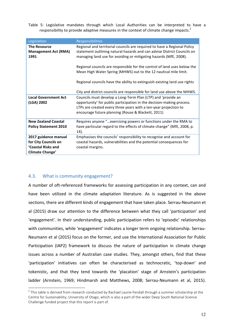Table 5: Legislative mandates through which Local Authorities can be interpreted to have a responsibility to provide adaptive measures in the context of climate change impacts.<sup>2</sup>

| Legislation                                                | Responsibilities                                                                                                                                                                                                         |
|------------------------------------------------------------|--------------------------------------------------------------------------------------------------------------------------------------------------------------------------------------------------------------------------|
| <b>The Resource</b><br><b>Management Act (RMA)</b><br>1991 | Regional and territorial councils are required to have a Regional Policy<br>statement outlining natural hazards and can advise District Councils on<br>managing land use for avoiding or mitigating hazards (MfE, 2008). |
|                                                            | Regional councils are responsible for the control of land uses below the<br>Mean High Water Spring (MHWS) out to the 12 nautical mile limit.                                                                             |
|                                                            | Regional councils have the ability to extinguish existing land use rights                                                                                                                                                |
|                                                            | City and district councils are responsible for land use above the MHWS.                                                                                                                                                  |
| <b>Local Government Act</b>                                | Councils must develop a Long-Term Plan (LTP) and 'provide an                                                                                                                                                             |
| (LGA) 2002                                                 | opportunity' for public participation in the decision-making process.                                                                                                                                                    |
|                                                            | LTPs are created every three years with a ten-year projection to                                                                                                                                                         |
|                                                            | encourage future planning (Rouse & Blackett, 2011)                                                                                                                                                                       |
| <b>New Zealand Coastal</b>                                 | Requires anyone "exercising powers or functions under the RMA to                                                                                                                                                         |
| <b>Policy Statement 2010</b>                               | have particular regard to the effects of climate change" (MfE, 2008, p.<br>14).                                                                                                                                          |
| 2017 guidance manual                                       | Emphasises the councils' responsibility to recognise and account for                                                                                                                                                     |
| for City Councils on                                       | coastal hazards, vulnerabilities and the potential consequences for                                                                                                                                                      |
| 'Coastal Risks and                                         | coastal margins.                                                                                                                                                                                                         |
| Climate Change'                                            |                                                                                                                                                                                                                          |

## 4.3. What is community engagement?

A number of oft-referenced frameworks for assessing participation in any context, can and have been utilized in the climate adaptation literature. As is suggested in the above sections, there are different kinds of engagement that have taken place. Serrau-Neumann et al (2015) draw our attention to the difference between what they call 'participation' and 'engagement'. In their understanding, public participation refers to 'episodic' relationships with communities, while 'engagement' indicates a longer term ongoing relationship. Serrau-Neumann et al (2015) focus on the former, and use the International Association for Public Participation (IAP2) framework to discuss the nature of participation in climate change issues across a number of Australian case studies. They, amongst others, find that these 'participation' initiatives can often be characterised as technocratic, 'top-down' and tokenistic, and that they tend towards the 'placation' stage of Arnstein's participation ladder (Arnstein, 1969; Hindmarsh and Matthews, 2008; Serrau-Neumann et al, 2015).

<sup>&</sup>lt;sup>2</sup> This table is derived from research conducted by Rachael Laurie-Fendall through a summer scholarship at the Centre for Sustainability, University of Otago, which is also a part of the wider Deep South National Science Challenge funded project that this report is part of.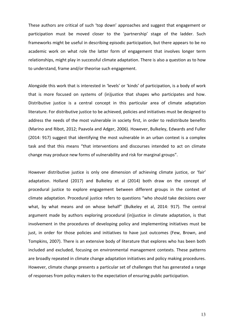These authors are critical of such 'top down' approaches and suggest that engagement or participation must be moved closer to the 'partnership' stage of the ladder. Such frameworks might be useful in describing episodic participation, but there appears to be no academic work on what role the latter form of engagement that involves longer term relationships, might play in successful climate adaptation. There is also a question as to how to understand, frame and/or theorise such engagement.

Alongside this work that is interested in 'levels' or 'kinds' of participation, is a body of work that is more focused on systems of (in)justice that shapes who participates and how. Distributive justice is a central concept in this particular area of climate adaptation literature. For distributive justice to be achieved, policies and initiatives must be designed to address the needs of the most vulnerable in society first, in order to redistribute benefits (Marino and Ribot, 2012; Paavola and Adger, 2006). However, Bulkeley, Edwards and Fuller (2014: 917) suggest that identifying the most vulnerable in an urban context is a complex task and that this means "that interventions and discourses intended to act on climate change may produce new forms of vulnerability and risk for marginal groups".

However distributive justice is only one dimension of achieving climate justice, or 'fair' adaptation. Holland (2017) and Bulkeley et al (2014) both draw on the concept of procedural justice to explore engagement between different groups in the context of climate adaptation. Procedural justice refers to questions "who should take decisions over what, by what means and on whose behalf" (Bulkeley et al, 2014: 917). The central argument made by authors exploring procedural (in)justice in climate adaptation, is that involvement in the procedures of developing policy and implementing initiatives must be just, in order for those policies and initiatives to have just outcomes (Few, Brown, and Tompkins, 2007). There is an extensive body of literature that explores who has been both included and excluded, focusing on environmental management contexts. These patterns are broadly repeated in climate change adaptation initiatives and policy making procedures. However, climate change presents a particular set of challenges that has generated a range of responses from policy makers to the expectation of ensuring public participation.

13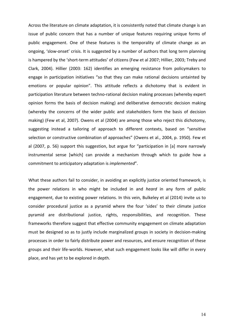Across the literature on climate adaptation, it is consistently noted that climate change is an issue of public concern that has a number of unique features requiring unique forms of public engagement. One of these features is the temporality of climate change as an ongoing, 'slow-onset' crisis. It is suggested by a number of authors that long term planning is hampered by the 'short-term attitudes' of citizens (Few et al 2007; Hillier, 2003; Treby and Clark, 2004). Hillier (2003: 162) identifies an emerging resistance from policymakers to engage in participation initiatives "so that they can make rational decisions untainted by emotions or popular opinion". This attitude reflects a dichotomy that is evident in participation literature between techno-rational decision making processes (whereby expert opinion forms the basis of decision making) and deliberative democratic decision making (whereby the concerns of the wider public and stakeholders form the basis of decision making) (Few et al, 2007). Owens et al (2004) are among those who reject this dichotomy, suggesting instead a tailoring of approach to different contexts, based on "sensitive selection or constructive combination of approaches" (Owens et al., 2004, p. 1950). Few et al (2007, p. 56) support this suggestion, but argue for "participation in [a] more narrowly instrumental sense [which] can provide a mechanism through which to guide how a commitment to anticipatory adaptation is *implemented*".

What these authors fail to consider, in avoiding an explicitly justice oriented framework, is the power relations in who might be included in and *heard* in any form of public engagement, due to existing power relations. In this vein, Bulkeley et al (2014) invite us to consider procedural justice as a pyramid where the four 'sides' to their climate justice pyramid are distributional justice, rights, responsibilities, and recognition. These frameworks therefore suggest that effective community engagement on climate adaptation must be designed so as to justly include marginalized groups in society in decision-making processes in order to fairly distribute power and resources, and ensure recognition of these groups and their life-worlds. However, what such engagement looks like will differ in every place, and has yet to be explored in depth.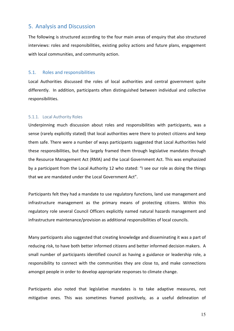## 5. Analysis and Discussion

The following is structured according to the four main areas of enquiry that also structured interviews: roles and responsibilities, existing policy actions and future plans, engagement with local communities, and community action.

#### 5.1. Roles and responsibilities

Local Authorities discussed the roles of local authorities and central government quite differently. In addition, participants often distinguished between individual and collective responsibilities.

#### 5.1.1. Local Authority Roles

Underpinning much discussion about roles and responsibilities with participants, was a sense (rarely explicitly stated) that local authorities were there to protect citizens and keep them safe. There were a number of ways participants suggested that Local Authorities held these responsibilities, but they largely framed them through legislative mandates through the Resource Management Act (RMA) and the Local Government Act. This was emphasized by a participant from the Local Authority 12 who stated: "I see our role as doing the things that we are mandated under the Local Government Act".

Participants felt they had a mandate to use regulatory functions, land use management and infrastructure management as the primary means of protecting citizens. Within this regulatory role several Council Officers explicitly named natural hazards management and infrastructure maintenance/provision as additional responsibilities of local councils.

Many participants also suggested that creating knowledge and disseminating it was a part of reducing risk, to have both better informed citizens and better informed decision makers. A small number of participants identified council as having a guidance or leadership role, a responsibility to connect with the communities they are close to, and make connections amongst people in order to develop appropriate responses to climate change.

Participants also noted that legislative mandates is to take adaptive measures, not mitigative ones. This was sometimes framed positively, as a useful delineation of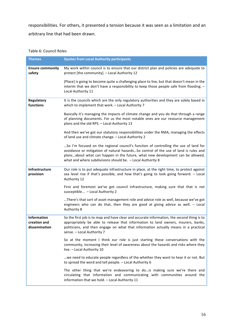responsibilities. For others, it presented a tension because it was seen as a limitation and an arbitrary line that had been drawn.

#### Table 6: Council Roles

| <b>Themes</b>                                | <b>Quotes from Local Authority participants</b>                                                                                                                                                                                                                                                                              |
|----------------------------------------------|------------------------------------------------------------------------------------------------------------------------------------------------------------------------------------------------------------------------------------------------------------------------------------------------------------------------------|
| <b>Ensure community</b><br>safety            | My work within council is to ensure that our district plan and policies are adequate to<br>protect [the community]. - Local Authority 12                                                                                                                                                                                     |
|                                              | [Place] is going to become quite a challenging place to live, but that doesn't mean in the<br>interim that we don't have a responsibility to keep those people safe from flooding. -<br>Local Authority 11                                                                                                                   |
| Regulatory<br>functions                      | It is the councils which are the only regulatory authorities and they are solely based in<br>which to implement that work. - Local Authority 7                                                                                                                                                                               |
|                                              | Basically it's managing the impacts of climate change and you do that through a range<br>of planning documents. For us the most notable ones are our resource management<br>plans and the old RPS. - Local Authority 13                                                                                                      |
|                                              | And then we've got our statutory responsibilities under the RMA, managing the effects<br>of land use and climate change. - Local Authority 2                                                                                                                                                                                 |
|                                              | So I'm focused on the regional council's function of controlling the use of land for<br>avoidance or mitigation of natural hazardsSo control of the use of land is rules and<br>plansabout what can happen in the future, what new development can be allowed,<br>what and where subdivisions should be. - Local Authority 8 |
| Infrastructure<br>provision                  | Our role is to put adequate infrastructure in place, at the right time, to protect against<br>sea level rise if that's possible, and how that's going to look going forward. - Local<br>Authority 12                                                                                                                         |
|                                              | First and foremost we've got council infrastructure, making sure that that is not<br>susceptible - Local Authority 2                                                                                                                                                                                                         |
|                                              | There's that sort of asset management role and advice role as well, because we've got<br>engineers who can do that, then they are good at giving advice as well. - Local<br><b>Authority 8</b>                                                                                                                               |
| Information<br>creation and<br>dissemination | So the first job is to map and have clear and accurate information, the second thing is to<br>appropriately be able to release that information to land owners, insurers, banks,<br>politicians, and then engage on what that information actually means in a practical<br>sense. - Local Authority 7                        |
|                                              | So at the moment I think our role is just starting these conversations with the<br>community, increasing their level of awareness about the hazards and risks where they<br>live. - Local Authority 10                                                                                                                       |
|                                              | we need to educate people regardless of the whether they want to hear it or not. But<br>to spread the word and tell people. - Local Authority 6                                                                                                                                                                              |
|                                              | The other thing that we're endeavoring to do is making sure we're there and<br>circulating that information and communicating with communities around the<br>information that we hold. - Local Authority 11                                                                                                                  |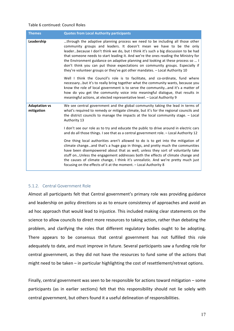#### Table 6 continued: Council Roles

| <b>Themes</b>                      | <b>Quotes from Local Authority participants</b>                                                                                                                                                                                                                                                                                                                                                                                                                                                                                                                                          |
|------------------------------------|------------------------------------------------------------------------------------------------------------------------------------------------------------------------------------------------------------------------------------------------------------------------------------------------------------------------------------------------------------------------------------------------------------------------------------------------------------------------------------------------------------------------------------------------------------------------------------------|
| Leadership                         | through the adaptive planning process we need to be including all those other<br>community groups and leaders. It doesn't mean we have to be the only<br>leaderbecause I don't think we do, but I think it's such a big discussion to be had<br>that someone needs to start leading it. And we're the ones reading the Ministry for<br>the Environment guidance on adaptive planning and looking at these process so  I<br>don't think you can put those expectations on community groups. Especially if<br>they're volunteer groups or they've got other mandates. - Local Authority 10 |
|                                    | Well I think the Council's role is to facilitate, and co-ordinate, fund where<br>necessarybut it's to really bring together what the community wants, because you<br>know the role of local government is to serve the communityand it's a matter of<br>how do you get the community voice into meaningful dialogue, that results in<br>meaningful actions, at elected representative level. - Local Authority 9                                                                                                                                                                         |
| <b>Adaptation vs</b><br>mitigation | We see central government and the global community taking the lead in terms of<br>what's required to remedy or mitigate climate, but it's for the regional councils and<br>the district councils to manage the impacts at the local community stage. - Local<br>Authority 13                                                                                                                                                                                                                                                                                                             |
|                                    | I don't see our role as to try and educate the public to drive around in electric cars<br>and do all those things. I see that as a central government role. - Local Authority 12                                                                                                                                                                                                                                                                                                                                                                                                         |
|                                    | One thing local authorities aren't allowed to do is to get into the mitigation of<br>climate changeand that's a huge gap in things, and pretty much the communities<br>have been disempowered about that as well, unless they sort of voluntarily take<br>stuff onUnless the engagement addresses both the effects of climate change and<br>the causes of climate change, I think it's unrealistic. And we're pretty much just<br>focusing on the effects of it at the moment. - Local Authority 8                                                                                       |

## 5.1.2. Central Government Role

Almost all participants felt that Central government's primary role was providing guidance and leadership on policy directions so as to ensure consistency of approaches and avoid an ad hoc approach that would lead to injustice. This included making clear statements on the science to allow councils to direct more resources to taking action, rather than debating the problem, and clarifying the roles that different regulatory bodies ought to be adopting. There appears to be consensus that central government has not fulfilled this role adequately to date, and must improve in future. Several participants saw a funding role for central government, as they did not have the resources to fund some of the actions that might need to be taken  $-$  in particular highlighting the cost of resettlement/retreat options.

Finally, central government was seen to be responsible for actions toward mitigation  $-$  some participants (as in earlier sections) felt that this responsibility should not lie solely with central government, but others found it a useful delineation of responsibilities.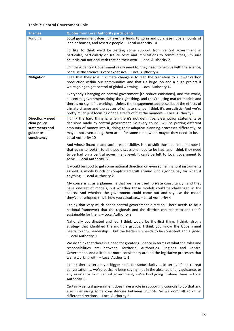#### Table 7: Central Government Role

| <b>Themes</b>                                                                   | <b>Quotes from Local Authority participants</b>                                                                                                                                                                                                                                                                                                                                                                                         |
|---------------------------------------------------------------------------------|-----------------------------------------------------------------------------------------------------------------------------------------------------------------------------------------------------------------------------------------------------------------------------------------------------------------------------------------------------------------------------------------------------------------------------------------|
| <b>Funding</b>                                                                  | Local government doesn't have the funds to go in and purchase huge amounts of<br>land or houses, and resettle people. - Local Authority 10                                                                                                                                                                                                                                                                                              |
|                                                                                 | I'd like to think we'd be getting some support from central government in<br>particular, particularly on future costs and implications to communities, I'm sure<br>councils can not deal with that on their own. - Local Authority 2                                                                                                                                                                                                    |
|                                                                                 | So I think Central Government really need to, they need to help us with the science,<br>because the science is very expensive. - Local Authority 4                                                                                                                                                                                                                                                                                      |
| <b>Mitigation</b>                                                               | I see that their role in climate change is to lead the transition to a lower carbon<br>production within our communities and that's a huge job and a huge project if<br>we're going to get control of global warming. - Local Authority 12                                                                                                                                                                                              |
|                                                                                 | Everybody's hanging on central government [to reduce emissions], and the world,<br>all central governments doing the right thing, and they're using market models and<br>there's no sign of it working Unless the engagement addresses both the effects of<br>climate change and the causes of climate change, I think it's unrealistic. And we're<br>pretty much just focusing on the effects of it at the moment. - Local Authority 8 |
| Direction - need<br>clear policy<br>statements and<br>guidance -<br>consistency | I think the hard thing is, when there's not definitive, clear policy statements or<br>decisions made by central government. So every council will be putting different<br>amounts of money into it, doing their adaptive planning processes differently, or<br>maybe not even doing them at all for some time, when maybe they need to be. -<br>Local Authority 10                                                                      |
|                                                                                 | And whose financial and social responsibility, is it to shift those people, and how is<br>that going to look?So all those discussions need to be had, and I think they need<br>to be had on a central government level. It can't be left to local government to<br>solve. - Local Authority 12                                                                                                                                          |
|                                                                                 | It would be good to get some national direction on even some financial instruments<br>as well. A whole bunch of complicated stuff around who's gonna pay for what, if<br>anything. - Local Authority 2                                                                                                                                                                                                                                  |
|                                                                                 | My concern is, as a planner, is that we have used [private consultancy], and they<br>have one set of models, but whether those models could be challenged in the<br>courts. And whether the government could come out and say use the model<br>they've developed, this is how you calculate - Local Authority 4                                                                                                                         |
|                                                                                 | I think that very much needs central government direction. There needs to be a<br>national framework that the regionals and the districts can relate to and that's<br>sustainable for them. - Local Authority 9                                                                                                                                                                                                                         |
|                                                                                 | Nationally coordinated and led. I think would be the first thing. I think, also, a<br>strategy that identified the multiple groups. I think you know the Government<br>needs to show leadership  but the leadership needs to be consistent and aligned.<br>- Local Authority 9                                                                                                                                                          |
|                                                                                 | We do think that there is a need for greater guidance in terms of what the roles and<br>responsibilities are between Territorial Authorities, Regions and Central<br>Government. And a little bit more consistency around the legislative processes that<br>we're working with. - Local Authority 1                                                                                                                                     |
|                                                                                 | I think there's certainly a bigger need for some clarity  In terms of the retreat<br>conversation , we've basically been saying that in the absence of any guidance, or<br>any assistance from central government, we're kind going it alone there. - Local<br>Authority 11                                                                                                                                                             |
|                                                                                 | Certainly central government does have a role in supporting councils to do that and<br>also in ensuring some consistencies between councils. So we don't all go off in<br>different directions. - Local Authority 5                                                                                                                                                                                                                     |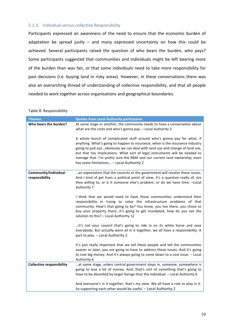## 5.1.3. Individual versus collective Responsibility

Participants expressed an awareness of the need to ensure that the economic burden of adaptation be spread justly  $-$  and many expressed uncertainty on how this could be achieved. Several participants raised the question of who bears the burden, who pays? Some participants suggested that communities and individuals might be left bearing more of the burden than was fair, or that some individuals need to take more responsibility for past decisions (i.e. buying land in risky areas). However, in these conversations there was also an overarching thread of understanding of collective responsibility, and that all people needed to work together across organisations and geographical boundaries.

#### Table 8: Responsibility

| <b>Themes</b>                          | <b>Quotes from Local Authority participants</b>                                                                                                                                                                                                                                                                                                                                                                                                 |
|----------------------------------------|-------------------------------------------------------------------------------------------------------------------------------------------------------------------------------------------------------------------------------------------------------------------------------------------------------------------------------------------------------------------------------------------------------------------------------------------------|
| Who bears the burden?                  | At some stage or another, the community needs to have a conversation about<br>what are the costs and who's gonna pay. - Local Authority 3                                                                                                                                                                                                                                                                                                       |
|                                        | A whole bunch of complicated stuff around who's gonna pay for what, if<br>anything. What's going to happen to insurance, when is the insurance industry<br>going to pull outobviously we can deal with land use and change of land use,<br>but that has implications. What sort of legal instruments will be needed to<br>manage that. I'm pretty sure the RMA and our current land ownership, even<br>has some limitations - Local Authority 2 |
| Community/individual<br>responsibility | an expectation that the councils or the government will resolve these issues.<br>And I kind of get from a political point of view, it's a question really of, are<br>they willing to, or is it someone else's problem, or do we have time. - Local<br>Authority 7                                                                                                                                                                               |
|                                        | I think that we would need to have those communities understand their<br>responsibility in trying to solve the infrastructure problems of that<br>community. How's that going to be? You know, you live there, you chose to<br>buy your property thereit's going to get inundated, how do you see the<br>solution to this? - Local Authority 12                                                                                                 |
|                                        | it's not your council that's going to ride in on its white horse and save<br>everybody. But actually were all in it together, we all have a responsibility. A<br>part to play. - Local Authority 2                                                                                                                                                                                                                                              |
|                                        | It's just really important that we tell these people and tell the communities<br>sooner or later, you are going to have to address these issues. And it's going<br>to cost big money. And it's always going to come down to a cost issue. - Local<br>Authority 6                                                                                                                                                                                |
| <b>Collective responsibility</b>       | at some stage, unless central government steps in, someone, somewhere is<br>going to lose a lot of money. Andthat's sort of something that's going to<br>have to be absorbed by larger beings than the individual. - Local Authority 6                                                                                                                                                                                                          |
|                                        | And everyone's in it together, that's my view. We all have a role to play in it.<br>So supporting each other would be useful. - Local Authority 2                                                                                                                                                                                                                                                                                               |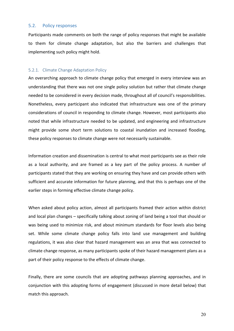#### 5.2. Policy responses

Participants made comments on both the range of policy responses that might be available to them for climate change adaptation, but also the barriers and challenges that implementing such policy might hold.

#### 5.2.1. Climate Change Adaptation Policy

An overarching approach to climate change policy that emerged in every interview was an understanding that there was not one single policy solution but rather that climate change needed to be considered in every decision made, throughout all of council's responsibilities. Nonetheless, every participant also indicated that infrastructure was one of the primary considerations of council in responding to climate change. However, most participants also noted that while infrastructure needed to be updated, and engineering and infrastructure might provide some short term solutions to coastal inundation and increased flooding, these policy responses to climate change were not necessarily sustainable.

Information creation and dissemination is central to what most participants see as their role as a local authority, and are framed as a key part of the policy process. A number of participants stated that they are working on ensuring they have and can provide others with sufficient and accurate information for future planning, and that this is perhaps one of the earlier steps in forming effective climate change policy.

When asked about policy action, almost all participants framed their action within district and local plan changes - specifically talking about zoning of land being a tool that should or was being used to minimize risk, and about minimum standards for floor levels also being set. While some climate change policy falls into land use management and building regulations, it was also clear that hazard management was an area that was connected to climate change response, as many participants spoke of their hazard management plans as a part of their policy response to the effects of climate change.

Finally, there are some councils that are adopting pathways planning approaches, and in conjunction with this adopting forms of engagement (discussed in more detail below) that match this approach.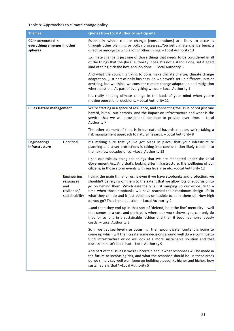## Table 9: Approaches to climate change policy

| <b>Themes</b>                                                |                                                                  | <b>Quotes from Local Authority participants</b>                                                                                                                                                                                                                                                                                                                                                                                                                  |
|--------------------------------------------------------------|------------------------------------------------------------------|------------------------------------------------------------------------------------------------------------------------------------------------------------------------------------------------------------------------------------------------------------------------------------------------------------------------------------------------------------------------------------------------------------------------------------------------------------------|
| CC incorporated in<br>everything/emerges in other<br>spheres |                                                                  | Essentially where climate change [considerations] are likely to occur is<br>through other planning or policy processes You get climate change being a<br>directive amongst a whole lot of other things. - Local Authority 13                                                                                                                                                                                                                                     |
|                                                              |                                                                  | climate change is just one of those things that needs to be considered in all<br>of the things that the [local authority] does. It's not a stand alone, set it apart<br>kind of thing, tick the box, and job done. - Local Authority 3                                                                                                                                                                                                                           |
|                                                              |                                                                  | And what the council is trying to do is make climate change, climate change<br>adaptation just part of daily business. So we haven't set up different units or<br>anything, but we think, we consider climate change adaptation and mitigation<br>where possible. As part of everything we do. - Local Authority 1                                                                                                                                               |
|                                                              |                                                                  | It's really keeping climate change in the back of your mind when you're<br>making operational decisions. - Local Authority 11                                                                                                                                                                                                                                                                                                                                    |
| <b>CC as Hazard management</b>                               |                                                                  | We're starting in a space of resilience, and connecting the issue of not just one<br>hazard, but all our hazards. And the impact on infrastructure and what is the<br>service that we will provide and continue to provide over time. - Local<br>Authority 7                                                                                                                                                                                                     |
|                                                              |                                                                  | The other element of that, is in our natural hazards chapter, we're taking a<br>risk management approach to natural hazards. - Local Authority 8                                                                                                                                                                                                                                                                                                                 |
| Engineering/<br>infrastructure                               | Uncritical                                                       | It's making sure that you've got plans in place, that your infrastructure<br>planning and asset protections is taking into consideration likely trends into<br>the next few decades or so. - Local Authority 13                                                                                                                                                                                                                                                  |
|                                                              |                                                                  | I see our role as doing the things that we are mandated under the Local<br>Government Act. And that's looking after infrastructure, the wellbeing of our<br>citizens, in those storm events with sea level rise etc. - Local Authority 12                                                                                                                                                                                                                        |
|                                                              | Engineering<br>responses<br>and<br>resilience/<br>sustainability | I think the main thing for us, is even if we have stopbanks and protection, we<br>shouldn't be relying on them to the extent that we allow lots of subdivision to<br>go on behind them. Which essentially is just ramping up our exposure to a<br>time when those stopbanks will have reached their maximum design life in<br>what they can do and it just becomes unfeasible to build them up. How high<br>do you go? That is the question. - Local Authority 2 |
|                                                              |                                                                  | and then they end up in that sort of 'defend, hold the line' mentality – well<br>that comes at a cost and perhaps is where our work shows, you can only do<br>that for so long in a sustainable fashion and then it becomes horrendously<br>costly. - Local Authority 3                                                                                                                                                                                          |
|                                                              |                                                                  | So if we get sea level rise occurring, then groundwater content is going to<br>come up which will then create some decisions around well do we continue to<br>fund infrastructure or do we look at a more sustainable solution and that<br>discussion hasn't been had. - Local Authority 9                                                                                                                                                                       |
|                                                              |                                                                  | And part of the issues is we're uncertain about what responses will be made in<br>the future to increasing risk, and what the response should be. In these areas<br>do we simply say well we'll keep on building stopbanks higher and higher, how<br>sustainable is that? - Local Authority 5                                                                                                                                                                    |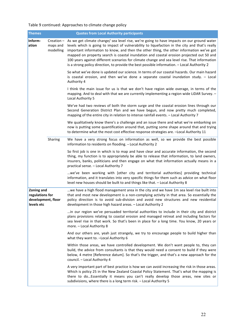## Table 9 continued: Approaches to climate change policy

| <b>Themes</b>                                                     |         | <b>Quotes from Local Authority participants</b>                                                                                                                                                                                                                                                                                                                                                                                                                                                                                                                                                |
|-------------------------------------------------------------------|---------|------------------------------------------------------------------------------------------------------------------------------------------------------------------------------------------------------------------------------------------------------------------------------------------------------------------------------------------------------------------------------------------------------------------------------------------------------------------------------------------------------------------------------------------------------------------------------------------------|
| Inform-<br>ation<br>maps and<br>modelling                         |         | Creation - As we get climate change/ sea level rise, we're going to have impacts on our ground water<br>levels which is going to impact of vulnerability to liquefaction in the city and that's really<br>important information to know, and then the other thing, the other information we've got<br>mapped on property search is coastal inundation and coastal erosion projected out 50 and<br>100 years against different scenarios for climate change and sea level rise. That information<br>is a strong policy direction, to provide the best possible information. - Local Authority 2 |
|                                                                   |         | So what we've done is updated our science. In terms of our coastal hazards. Our main hazard<br>is coastal erosion, and then we've done a separate coastal inundation study. - Local<br>Authority 4                                                                                                                                                                                                                                                                                                                                                                                             |
|                                                                   |         | I think the main issue for us is that we don't have region wide overage, in terms of the<br>mapping. And to deal with that we are currently implementing a region wide LiDAR Survey. -<br>Local Authority 5                                                                                                                                                                                                                                                                                                                                                                                    |
|                                                                   |         | We've had two reviews of both the storm surge and the coastal erosion lines through our<br>Second Generation District Plan and we have begun, and now pretty much completed,<br>mapping of the entire city in relation to intense rainfall events. - Local Authority 7                                                                                                                                                                                                                                                                                                                         |
|                                                                   |         | We qualitatively know there's a challenge and an issue there and what we're embarking on<br>now is putting some quantification around that, putting some shape around that and trying<br>to determine what the most cost effective response strategies are. - Local Authority 11                                                                                                                                                                                                                                                                                                               |
|                                                                   | Sharing | We have a very strong focus on information as well, so we provide the best possible<br>information to residents on flooding. - Local Authority 2                                                                                                                                                                                                                                                                                                                                                                                                                                               |
|                                                                   |         | So first job is one in which is to map and have clear and accurate information, the second<br>thing, my function is to appropriately be able to release that information, to land owners,<br>insurers, banks, politicians and then engage on what that information actually means in a<br>practical sense. - Local Authority 7                                                                                                                                                                                                                                                                 |
|                                                                   |         | we've been working with [other city and territorial authorities] providing technical<br>information, and it translates into very specific things for them such as advice on what floor<br>level new houses should be built to and things like that. - Local Authority 8                                                                                                                                                                                                                                                                                                                        |
| Zoning and<br>regulations for<br>development, floor<br>levels etc |         | we have a high flood management area in the city and we have 1m sea level rise built into<br>that and most new development is a non-complying activity in that area. So essentially the<br>policy direction is to avoid sub-division and avoid new structures and new residential<br>development in those high hazard areas. - Local Authority 2                                                                                                                                                                                                                                               |
|                                                                   |         | in our region we've persuaded territorial authorities to include in their city and district<br>plans provisions relating to coastal erosion and managed retreat and including factors for<br>sea level rise in that work. So that's been in place for a long time. You know, 20 years or<br>more. - Local Authority 8                                                                                                                                                                                                                                                                          |
|                                                                   |         | And our others are, yeah just strangely, we try to encourage people to build higher than<br>what they want to. - Local Authority 6                                                                                                                                                                                                                                                                                                                                                                                                                                                             |
|                                                                   |         | Within those areas, we have controlled development. We don't want people to, they can<br>build, the advice from consultants is that they would need a consent to build if they were<br>below, 4 metre [Reference datum]. So that's the trigger, and that's a new approach for the<br>council. - Local Authority 4                                                                                                                                                                                                                                                                              |
|                                                                   |         | A very important part of best practice is how we can avoid increasing the risk in those areas.<br>Which is policy 25 in the New Zealand Coastal Policy Statement. That's what the mapping is<br>there to doEssentially it means you can't really develop those areas, new sites or<br>subdivisions, where there is a long term risk. - Local Authority 5                                                                                                                                                                                                                                       |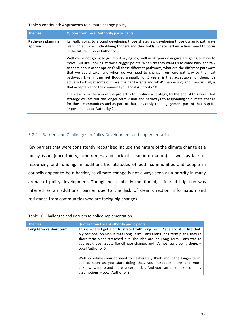Table 9 continued: Approaches to climate change policy

| <b>Themes</b>                        | <b>Quotes from Local Authority participants</b>                                                                                                                                                                                                                                                                                                                                                                                                                                                                                                                                                                                        |
|--------------------------------------|----------------------------------------------------------------------------------------------------------------------------------------------------------------------------------------------------------------------------------------------------------------------------------------------------------------------------------------------------------------------------------------------------------------------------------------------------------------------------------------------------------------------------------------------------------------------------------------------------------------------------------------|
| <b>Pathways planning</b><br>approach | Its really going to around developing those strategies, developing those dynamic pathways<br>planning approach, identifying triggers and thresholds, where certain actions need to occur<br>in the future. - Local Authority 5                                                                                                                                                                                                                                                                                                                                                                                                         |
|                                      | Well we're not going to go into it saying 'ok, well in 50 years you guys are going to have to<br>move. But like, looking at those trigger points. When do they want us to come back and talk<br>to them about other options? All those different pathways, what are the different pathways<br>that we could take, and when do we need to change from one pathway to the next<br>pathway? Like, if they get flooded annually for 5 years, is that acceptable for them. It's<br>actually looking at some of those, the hard events and what's happening, and then ok well, is<br>that acceptable for the community? - Local Authority 10 |
|                                      | The view is, or the aim of the project is to produce a strategy, by the end of this year. That<br>strategy will set out the longer term vision and pathways to responding to climate change<br>for those communities and as part of that, obviously the engagement part of that is quite<br>important - Local Authority 2                                                                                                                                                                                                                                                                                                              |

## 5.2.2. Barriers and Challenges to Policy Development and Implementation

Key barriers that were consistently recognised include the nature of the climate change as a policy issue (uncertainty, timeframes, and lack of clear information) as well as lack of resourcing and funding. In addition, the attitudes of both communities and people in councils appear to be a barrier, as climate change is not always seen as a priority in many arenas of policy development. Though not explicitly mentioned, a fear of litigation was inferred as an additional barrier due to the lack of clear direction, information and resistance from communities who are facing big changes.

| <b>Themes</b>           | <b>Quotes from Local Authority participants</b>                                                                                                                                                                                                                                                                                              |
|-------------------------|----------------------------------------------------------------------------------------------------------------------------------------------------------------------------------------------------------------------------------------------------------------------------------------------------------------------------------------------|
| Long term vs short term | This is where I get a bit frustrated with Long Term Plans and stuff like that.<br>My personal opinion is that Long Term Plans aren't long term plans, they're<br>short term plans stretched out. The idea around Long Term Plans was to<br>address these issues, like climate change, and it's not really being done. -<br>Local Authority 6 |
|                         | Well sometimes you do need to deliberately think about the longer term,<br>but as soon as you start doing that, you introduce more and more<br>unknowns, more and more uncertainties. And you can only make so many<br>assumptions. - Local Authority 3                                                                                      |

Table 10: Challenges and Barriers to policy implementation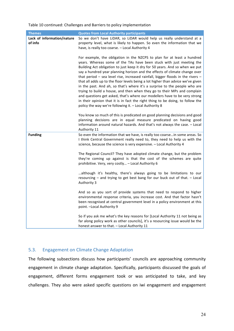Table 10 continued: Challenges and Barriers to policy implementation

| <b>Themes</b>                         | <b>Quotes from Local Authority participants</b>                                                                                                                                                                                                                                                                                                                                                                                                                                                                                                                                                                                                                                                                                                                                                                                                                             |
|---------------------------------------|-----------------------------------------------------------------------------------------------------------------------------------------------------------------------------------------------------------------------------------------------------------------------------------------------------------------------------------------------------------------------------------------------------------------------------------------------------------------------------------------------------------------------------------------------------------------------------------------------------------------------------------------------------------------------------------------------------------------------------------------------------------------------------------------------------------------------------------------------------------------------------|
| Lack of information/nature<br>of info | So we don't have LiDAR, so LiDAR would help us really understand at a<br>property level, what is likely to happen. So even the information that we<br>have, is really too coarse. - Local Authority 4                                                                                                                                                                                                                                                                                                                                                                                                                                                                                                                                                                                                                                                                       |
|                                       | For example, the obligation in the NZCPS to plan for at least a hundred<br>years. Whereas some of the TAs have been stuck with just meeting the<br>Building Act obligation to just keep it dry for 50 years. And so when we put<br>say a hundred year planning horizon and the effects of climate change over<br>that period $-$ sea level rise, increased rainfall, bigger floods in the rivers $-$<br>that all adds up to the floor levels being a lot higher than advice we've given<br>in the past. And ah, so that's where it's a surprise to the people who are<br>trying to build a house, and then when they go to their MPs and complain<br>and questions get asked, that's where our modellers have to be very strong<br>in their opinion that it is in fact the right thing to be doing, to follow the<br>policy the way we're following it. - Local Authority 8 |
|                                       | You know so much of this is predicated on good planning decisions and good<br>planning decisions are in equal measure predicated on having good<br>information around natural hazards. And that's not always the case. - Local<br>Authority 11                                                                                                                                                                                                                                                                                                                                                                                                                                                                                                                                                                                                                              |
| <b>Funding</b>                        | So even the information that we have, is really too coarsein some areas. So<br>I think Central Government really need to, they need to help us with the<br>science, because the science is very expensive. - Local Authority 4                                                                                                                                                                                                                                                                                                                                                                                                                                                                                                                                                                                                                                              |
|                                       | The Regional Council? They have adopted climate change, but the problem<br>they're coming up against is that the cost of the schemes are quite<br>prohibitive. Very, very costly - Local Authority 6                                                                                                                                                                                                                                                                                                                                                                                                                                                                                                                                                                                                                                                                        |
|                                       | although it's healthy, there's always going to be limitations to our<br>resourcing - and trying to get best bang for our buck out of that. - Local<br>Authority 3                                                                                                                                                                                                                                                                                                                                                                                                                                                                                                                                                                                                                                                                                                           |
|                                       | And so as you sort of provide systems that need to respond to higher<br>environmental response criteria, you increase cost. And that factor hasn't<br>been recognised at central government level in a policy environment at this<br>point. - Local Authority 9                                                                                                                                                                                                                                                                                                                                                                                                                                                                                                                                                                                                             |
|                                       | So if you ask me what's the key reasons for [Local Authority 11 not being as<br>far along policy work as other councils], it's a resourcing issue would be the<br>honest answer to that. - Local Authority 11                                                                                                                                                                                                                                                                                                                                                                                                                                                                                                                                                                                                                                                               |

## 5.3. Engagement on Climate Change Adaptation

The following subsections discuss how participants' councils are approaching community engagement in climate change adaptation. Specifically, participants discussed the goals of engagement, different forms engagement took or was anticipated to take, and key challenges. They also were asked specific questions on iwi engagement and engagement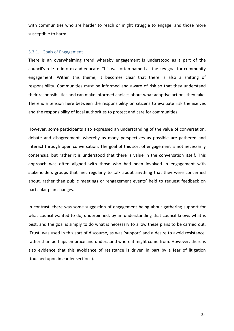with communities who are harder to reach or might struggle to engage, and those more susceptible to harm.

#### 5.3.1. Goals of Engagement

There is an overwhelming trend whereby engagement is understood as a part of the council's role to inform and educate. This was often named as the key goal for community engagement. Within this theme, it becomes clear that there is also a shifting of responsibility. Communities must be informed and aware of risk so that they understand their responsibilities and can make informed choices about what adaptive actions they take. There is a tension here between the responsibility on citizens to evaluate risk themselves and the responsibility of local authorities to protect and care for communities.

However, some participants also expressed an understanding of the value of conversation, debate and disagreement, whereby as many perspectives as possible are gathered and interact through open conversation. The goal of this sort of engagement is not necessarily consensus, but rather it is understood that there is value in the conversation itself. This approach was often aligned with those who had been involved in engagement with stakeholders groups that met regularly to talk about anything that they were concerned about, rather than public meetings or 'engagement events' held to request feedback on particular plan changes.

In contrast, there was some suggestion of engagement being about gathering support for what council wanted to do, underpinned, by an understanding that council knows what is best, and the goal is simply to do what is necessary to allow these plans to be carried out. 'Trust' was used in this sort of discourse, as was 'support' and a desire to avoid resistance, rather than perhaps embrace and understand where it might come from. However, there is also evidence that this avoidance of resistance is driven in part by a fear of litigation (touched upon in earlier sections).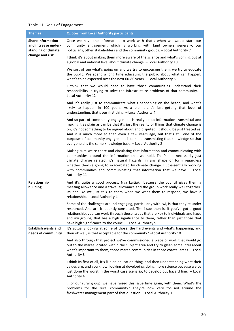## Table 11: Goals of Engagement

| <b>Themes</b>                                                          | <b>Quotes from Local Authority participants</b>                                                                                                                                                                                                                                                                                                                                                                                                                                                       |
|------------------------------------------------------------------------|-------------------------------------------------------------------------------------------------------------------------------------------------------------------------------------------------------------------------------------------------------------------------------------------------------------------------------------------------------------------------------------------------------------------------------------------------------------------------------------------------------|
| <b>Share information</b><br>and increase under-<br>standing of climate | Once we have the information to work with that's when we would start our<br>community engagement which is working with land owners generally, our<br>politicians, other stakeholders and the community groups. - Local Authority 7                                                                                                                                                                                                                                                                    |
| change and risk                                                        | I think it's about making them more aware of the science and what's coming out at<br>a global and national level about climate change. - Local Authority 10                                                                                                                                                                                                                                                                                                                                           |
|                                                                        | We sort of see what's going on and we try to encourage them, we try to educate<br>the public. We spend a long time educating the public about what can happen,<br>what's to be expected over the next 60-80 years. - Local Authority 6                                                                                                                                                                                                                                                                |
|                                                                        | I think that we would need to have those communities understand their<br>responsibility in trying to solve the infrastructure problems of that community. -<br>Local Authority 12                                                                                                                                                                                                                                                                                                                     |
|                                                                        | And it's really just to communicate what's happening on the beach, and what's<br>likely to happen in 100 years. As a plannerit's just getting that level of<br>understanding, that's our first thing. - Local Authority 4                                                                                                                                                                                                                                                                             |
|                                                                        | And so part of community engagement is really about information transmittal and<br>making it as plain as can be that it's just the reality of things that climate change is<br>on, it's not something to be argued about and disputed. It should be just treated as.<br>And it is much more so than even a few years ago, but that's still one of the<br>purposes of community engagement is to keep transmitting that knowledge so that<br>everyone ahs the same knowledge base. - Local Authority 8 |
|                                                                        | Making sure we're there and circulating that information and communicating with<br>communities around the information that we hold. That's not necessarily just<br>climate change related, it's natural hazards, in any shape or form regardless<br>whether they've going to exacerbated by climate change. But essentially working<br>with communities and communicating that information that we have. - Local<br>Authority 11                                                                      |
| Relationship<br>building                                               | And it's quite a good process, Nga kaitiaki, because the council gives them a<br>meeting allowance and a travel allowance and the group work really well together.<br>Its not like we just talk to them when we want them to respond, we have a<br>relationship. - Local Authority 4                                                                                                                                                                                                                  |
|                                                                        | Some of the challenges around engaging, particularly with iwi, is that they're under<br>resourced. And are frequently consulted. The issue then is, if you've got a good<br>relationship, you can work through those issues that are key to individuals and hapu<br>and iwi groups, that has a high significance to them, rather than just those that<br>have high significance to the council. - Local Authority 9                                                                                   |
| <b>Establish wants and</b><br>needs of community                       | It's actually looking at some of those, the hard events and what's happening, and<br>then ok well, is that acceptable for the community? - Local Authority 10                                                                                                                                                                                                                                                                                                                                         |
|                                                                        | And also through that project we've commissioned a piece of work that would go<br>out to the marae located within the subject area and try to glean some intel about<br>what's important to them, those marae communities in those coastal areas. - Local<br>Authority 3                                                                                                                                                                                                                              |
|                                                                        | I think its first of all, it's like an education thing, and then understanding what their<br>values are, and you know, looking at developing, doing more science because we've<br>just done the worst in the worst case scenario, to develop out hazard line. - Local<br>Authority 4                                                                                                                                                                                                                  |
|                                                                        | for our rural group, we have raised this issue time again, with them. What's the<br>problems for the rural community? They're now very focused around the<br>freshwater management part of that question. - Local Authority 1                                                                                                                                                                                                                                                                         |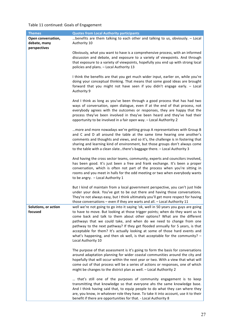## Table 11 continued: Goals of Engagement

| <b>Themes</b>                                      | <b>Quotes from Local Authority participants</b>                                                                                                                                                                                                                                                                                                                                                                                                                                                                                                                                              |
|----------------------------------------------------|----------------------------------------------------------------------------------------------------------------------------------------------------------------------------------------------------------------------------------------------------------------------------------------------------------------------------------------------------------------------------------------------------------------------------------------------------------------------------------------------------------------------------------------------------------------------------------------------|
| Open conversation,<br>debate, many<br>perspectives | benefits are them talking to each other and talking to us, obviously. - Local<br>Authority 10                                                                                                                                                                                                                                                                                                                                                                                                                                                                                                |
|                                                    | Obviously, what you want to have is a comprehensive process, with an informed<br>discussion and debate, and exposure to a variety of viewpoints. And through<br>that exposure to a variety of viewpoints, hopefully you end up with strong local<br>policies and plans. - Local Authority 13                                                                                                                                                                                                                                                                                                 |
|                                                    | I think the benefits are that you get much wider input, earlier on, while you're<br>doing your conceptual thinking. That means that some good ideas are brought<br>forward that you might not have seen if you didn't engage early. - Local<br>Authority 9                                                                                                                                                                                                                                                                                                                                   |
|                                                    | And I think as long as you've been through a good process that has had two<br>ways of conversation, open dialogue, even if at the end of that process, not<br>everybody agrees with the outcomes or responses, they are happy that the<br>process they've been involved in they've been heard and they've had their<br>opportunity to be involved in a fair open way. - Local Authority 2                                                                                                                                                                                                    |
|                                                    | more and more nowadays we're getting group A representatives with Group B<br>and C and D all around the table at the same time hearing one another's<br>comments and thoughts and views, and so it's, the challenge is in fostering that<br>sharing and learning kind of environment, but those groups don't always come<br>to the table with a clean slatethere's baggage there. - Local Authority 3                                                                                                                                                                                        |
|                                                    | And having the cross sector teams, community, experts and councilors involved,<br>has been good. It's just been a free and frank exchange. It's been a proper<br>conversation, which is often not part of the process when you're sitting in<br>rooms and you meet in halls for the odd meeting or two when everybody wants<br>to be angry. - Local Authority 1                                                                                                                                                                                                                              |
|                                                    | But I kind of maintain from a local government perspective, you can't just hide<br>under your desk. You've got to be out there and having those conversations.<br>They're not always easy, but I think ultimately you'll get more respect for having<br>those conversations - even if they are warts and all. - Local Authority 11                                                                                                                                                                                                                                                           |
| Solutions, or action<br>focused                    | well we're not going to go into it saying 'ok, well in 50 years you guys are going<br>to have to move. But looking at those trigger points; when do they want us to<br>come back and talk to them about other options? What are the different<br>pathways that we could take, and when do we need to change from one<br>pathway to the next pathway? If they get flooded annually for 5 years, is that<br>acceptable for them? It's actually looking at some of those hard events and<br>what's happening, and then ok well, is that acceptable for the community? $-$<br>Local Authority 10 |
|                                                    | The purpose of that assessment is it's going to form the basis for conversations<br>around adaptation planning for wider coastal communities around the city and<br>hopefully that will occur within the next year or two. With a view that what will<br>come out of that process will be a series of actions or responses, one of which<br>might be changes to the district plan as well. - Local Authority 2                                                                                                                                                                               |
|                                                    | that's still one of the purposes of community engagement is to keep<br>transmitting that knowledge so that everyone ahs the same knowledge base.<br>And I think having said that, to equip people to do what they can where they<br>are, you know, in whatever role they have. To take it into account, use it to their<br>benefit if there are opportunities for that. - Local Authority 8                                                                                                                                                                                                  |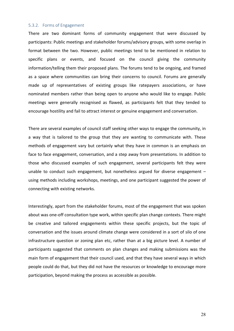#### 5.3.2. Forms of Engagement

There are two dominant forms of community engagement that were discussed by participants: Public meetings and stakeholder forums/advisory groups, with some overlap in format between the two. However, public meetings tend to be mentioned in relation to specific plans or events, and focused on the council giving the community information/telling them their proposed plans. The forums tend to be ongoing, and framed as a space where communities can bring their concerns to council. Forums are generally made up of representatives of existing groups like ratepayers associations, or have nominated members rather than being open to anyone who would like to engage. Public meetings were generally recognised as flawed, as participants felt that they tended to encourage hostility and fail to attract interest or genuine engagement and conversation.

There are several examples of council staff seeking other ways to engage the community, in a way that is tailored to the group that they are wanting to communicate with. These methods of engagement vary but certainly what they have in common is an emphasis on face to face engagement, conversation, and a step away from presentations. In addition to those who discussed examples of such engagement, several participants felt they were unable to conduct such engagement, but nonetheless argued for diverse engagement  $$ using methods including workshops, meetings, and one participant suggested the power of connecting with existing networks.

Interestingly, apart from the stakeholder forums, most of the engagement that was spoken about was one-off consultation type work, within specific plan change contexts. There might be creative and tailored engagements within these specific projects, but the topic of conversation and the issues around climate change were considered in a sort of silo of one infrastructure question or zoning plan etc, rather than at a big picture level. A number of participants suggested that comments on plan changes and making submissions was the main form of engagement that their council used, and that they have several ways in which people could do that, but they did not have the resources or knowledge to encourage more participation, beyond making the process as accessible as possible.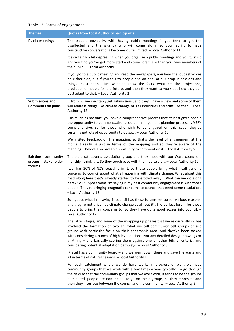## Table 12: Forms of engagement

| <b>Themes</b>                                          | <b>Quotes from Local Authority participants</b>                                                                                                                                                                                                                                                                                                                                                                                                                                                  |
|--------------------------------------------------------|--------------------------------------------------------------------------------------------------------------------------------------------------------------------------------------------------------------------------------------------------------------------------------------------------------------------------------------------------------------------------------------------------------------------------------------------------------------------------------------------------|
| <b>Public meetings</b>                                 | The trouble obviously, with having public meetings is you tend to get the<br>disaffected and the grumpy who will come along, so your ability to have<br>constructive conversations becomes quite limited. - Local Authority 11                                                                                                                                                                                                                                                                   |
|                                                        | It's certainly a bit depressing when you organize a public meetings and you turn up<br>and you find you've got more staff and councilors there than you have members of<br>the public - Local Authority 11                                                                                                                                                                                                                                                                                       |
|                                                        | If you go to a public meeting and read the newspapers, you hear the loudest voices<br>on either side, but if you talk to people one on one, at our drop in sessions and<br>things, most people just want to know the facts, what are the projections,<br>predictions, models for the future, and then they want to work out how they can<br>best adapt to that. - Local Authority 2                                                                                                              |
| <b>Submissions and</b><br><b>Comments on plans</b>     | from iwi we inevitably get submissions, and they'll have a view and some of them<br>will address things like climate change or gas industries and stuff like that. - Local<br>Authority 13                                                                                                                                                                                                                                                                                                       |
|                                                        | as much as possible, you have a comprehensive process that at least gives people<br>the opportunity to commentthe resource management planning process is VERY<br>comprehensive, so for those who wish to be engaged on this issue, they've<br>certainly got lots of opportunity to do so - Local Authority 13                                                                                                                                                                                   |
|                                                        | We invited feedback on the mapping, so that's the level of engagement at the<br>moment really, is just in terms of the mapping and so they're aware of the<br>mapping. They've also had an opportunity to comment on it. - Local Authority 5                                                                                                                                                                                                                                                     |
| <b>Existing</b><br>community<br>stakeholder<br>groups, | There's a ratepayer's association group and they meet with our Ward councilors<br>monthly I think it is. So they touch base with them quite a bit. - Local Authority 10                                                                                                                                                                                                                                                                                                                          |
| forums                                                 | [we] has 20% of NZ's coastline in it, so these people bring what I call genuine<br>concerns to council about what's happening with climate change. What about this<br>road along here that's already started to be eroded away? What can we do along<br>here? So I suppose what I'm saying is my best community engagement is with those<br>people. They're bringing pragmatic concerns to council that need some resolution.<br>- Local Authority 12                                            |
|                                                        | So I guess what I'm saying is council has these forums set up for various reasons,<br>and they're not driven by climate change at all, but it's the perfect forum for those<br>people to bring their concerns to. So they have quite good access into council. -<br>Local Authority 12                                                                                                                                                                                                           |
|                                                        | The latter stages, and some of the wrapping up phases that we're currently in, has<br>involved the formation of two ah, what we call community cell groups or sub<br>groups with particular focus on their geographic area. And they've been tasked<br>with considering a bunch of high level options. Not any detailed design drawings or<br>anything - and basically scoring them against one or other bits of criteria, and<br>considering potential adaptation pathways. - Local Authority 3 |
|                                                        | [Place] has a community board – and we went down there and gave the warts and<br>all in terms of natural hazards. - Local Authority 11                                                                                                                                                                                                                                                                                                                                                           |
|                                                        | For each catchment where we do have works in progress or plan, we have<br>community groups that we work with a few times a year typically. To go through<br>the risks so that the community groups that we work with, it tends to be the groups<br>nominated, people are nominated, to go on these groups, so they represent and<br>then they interface between the council and the community. - Local Authority 5                                                                               |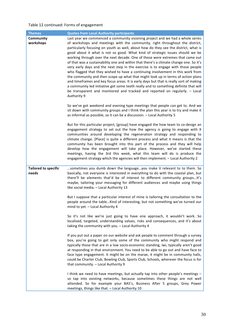## Table 12 continued: Forms of engagement

| <b>Themes</b>                        | <b>Quotes from Local Authority participants</b>                                                                                                                                                                                                                                                                                                                                                                                                                                                                                                                                                                                                                                                                                                                                                                                                                                                                                                                                                                                                                                                                                                                                                                                                                                                                                                                                                                                                                                       |
|--------------------------------------|---------------------------------------------------------------------------------------------------------------------------------------------------------------------------------------------------------------------------------------------------------------------------------------------------------------------------------------------------------------------------------------------------------------------------------------------------------------------------------------------------------------------------------------------------------------------------------------------------------------------------------------------------------------------------------------------------------------------------------------------------------------------------------------------------------------------------------------------------------------------------------------------------------------------------------------------------------------------------------------------------------------------------------------------------------------------------------------------------------------------------------------------------------------------------------------------------------------------------------------------------------------------------------------------------------------------------------------------------------------------------------------------------------------------------------------------------------------------------------------|
| Community<br>workshops               | Last year we commenced a community visioning project and we had a whole series<br>of workshops and meetings with the community, right throughout the district,<br>particularly focusing on youth as well, about how do they see the district, what is<br>good about it what is not so good. What kind of strategic issues should we be<br>working through over the next decade. One of those were extremes that came out<br>of that was a sustainability one and within that there's a climate change one. So it's<br>very early days and the next step in the exercise is to engage with those people<br>who flagged that they wished to have a continuing involvement in this work from<br>the community and then scope up what that might look up in terms of action plans<br>and timeframes and key focus areas. It is early days but that is really sort of making<br>a community led initiative get some teeth really and to something definite that will<br>be transparent and monitored and tracked and reported on regularly. - Local<br>Authority 9<br>So we've got weekend and evening type meetings that people can get to. And we<br>sit down with community groups and I think the plan this year is to try and make it<br>as informal as possible, so it can be a discussion. - Local Authority 5<br>But for this particular project, [group] have engaged the how team to co-design an<br>engagement strategy to set out the how the agency is going to engage with X |
|                                      | communities around developing the regeneration strategy and responding to<br>climate change. [Place] is quite a different process and what it means is that the<br>community has been brought into this part of the process and they will help<br>develop how the engagement will take place. However, we've started these<br>meetings, having the 3rd this week, what this team will do is produce the<br>engagement strategy which the agencies will then implement. - Local Authority 2                                                                                                                                                                                                                                                                                                                                                                                                                                                                                                                                                                                                                                                                                                                                                                                                                                                                                                                                                                                            |
| <b>Tailored to specific</b><br>needs | sometimes you dumb down the languageyou make it relevant to to them. So<br>basically, not everyone is interested in everything to do with the coastal plan, but<br>there'll be elements that'd be of interest to different community groups It's<br>maybe, tailoring your messaging for different audiences and maybe using things<br>like social media. - Local Authority 13                                                                                                                                                                                                                                                                                                                                                                                                                                                                                                                                                                                                                                                                                                                                                                                                                                                                                                                                                                                                                                                                                                         |
|                                      | But I suppose that a particular interest of mine is tailoring the consultation to the<br>people around the tableKind of interesting, but not something we've turned our<br>mind to yet. - Local Authority 4                                                                                                                                                                                                                                                                                                                                                                                                                                                                                                                                                                                                                                                                                                                                                                                                                                                                                                                                                                                                                                                                                                                                                                                                                                                                           |
|                                      | So it's not like we're just going to have one approach, it wouldn't work. So<br>localised, targeted, understanding values, risks and consequences, and it's about<br>taking the community with you. - Local Authority 4                                                                                                                                                                                                                                                                                                                                                                                                                                                                                                                                                                                                                                                                                                                                                                                                                                                                                                                                                                                                                                                                                                                                                                                                                                                               |
|                                      | If you put out a paper on our website and ask people to comment through a survey<br>box, you're going to get only some of the community who might respond and<br>typically those that are in a low socio-economic standing, iwi, typically aren't good<br>at responding in that environment. You need to be able to go out and have face to<br>face type engagement. It might be on the marae, it might be in community halls,<br>could be Charter Club, Bowling Club, Sports Club, Schools, wherever the focus is for<br>that community. - Local Authority 9                                                                                                                                                                                                                                                                                                                                                                                                                                                                                                                                                                                                                                                                                                                                                                                                                                                                                                                         |
|                                      | I think we need to have meetings, but actually tap into other people's meetings -<br>so tap into existing networks, because sometimes these things are not well<br>attended. So for example your BA5's, Business After 5 groups, Grey Power<br>meetings, things like that. - Local Authority 10                                                                                                                                                                                                                                                                                                                                                                                                                                                                                                                                                                                                                                                                                                                                                                                                                                                                                                                                                                                                                                                                                                                                                                                       |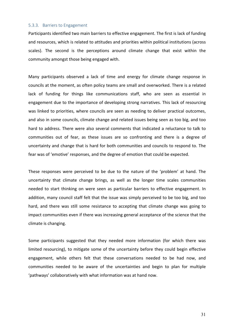#### 5.3.3. Barriers to Engagement

Participants identified two main barriers to effective engagement. The first is lack of funding and resources, which is related to attitudes and priorities within political institutions (across scales). The second is the perceptions around climate change that exist within the community amongst those being engaged with.

Many participants observed a lack of time and energy for climate change response in councils at the moment, as often policy teams are small and overworked. There is a related lack of funding for things like communications staff, who are seen as essential in engagement due to the importance of developing strong narratives. This lack of resourcing was linked to priorities, where councils are seen as needing to deliver practical outcomes, and also in some councils, climate change and related issues being seen as too big, and too hard to address. There were also several comments that indicated a reluctance to talk to communities out of fear, as these issues are so confronting and there is a degree of uncertainty and change that is hard for both communities and councils to respond to. The fear was of 'emotive' responses, and the degree of emotion that could be expected.

These responses were perceived to be due to the nature of the 'problem' at hand. The uncertainty that climate change brings, as well as the longer time scales communities needed to start thinking on were seen as particular barriers to effective engagement. In addition, many council staff felt that the issue was simply perceived to be too big, and too hard, and there was still some resistance to accepting that climate change was going to impact communities even if there was increasing general acceptance of the science that the climate is changing.

Some participants suggested that they needed more information (for which there was limited resourcing), to mitigate some of the uncertainty before they could begin effective engagement, while others felt that these conversations needed to be had now, and communities needed to be aware of the uncertainties and begin to plan for multiple 'pathways' collaboratively with what information was at hand now.

31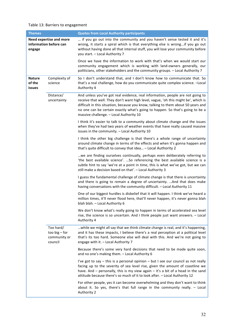## Table 13: Barriers to engagement

| <b>Themes</b>                                                      |                                                         | <b>Quotes from Local Authority participants</b>                                                                                                                                                                                                                                                                                                                                       |
|--------------------------------------------------------------------|---------------------------------------------------------|---------------------------------------------------------------------------------------------------------------------------------------------------------------------------------------------------------------------------------------------------------------------------------------------------------------------------------------------------------------------------------------|
| <b>Need expertise and more</b><br>information before can<br>engage |                                                         | if you go out into the community and you haven't sense tested it and it's<br>wrong, it starts a spiral which is that everything else is wrongif you go out<br>without having done all that internal stuff, you will lose your community before<br>you start. - Local Authority 7                                                                                                      |
|                                                                    |                                                         | Once we have the information to work with that's when we would start our<br>community engagement which is working with land-owners generally, our<br>politicians, other stakeholders and the community groups. - Local Authority 7                                                                                                                                                    |
| <b>Nature</b><br>of the<br><b>issues</b>                           | Complexity of<br>science                                | So I don't understand that, and I don't know how to communicate that. So<br>that's a real challenge, how do you communicate quite complex science. - Local<br>Authority 4                                                                                                                                                                                                             |
|                                                                    | Distance/<br>uncertainty                                | And unless you've got real evidence, real information, people are not going to<br>receive that well. They don't want high level, vague, 'oh this might be', which is<br>difficult in this situation, because you know, talking to them about 50 years and<br>no one can be certain exactly what's going to happen. So that's going to be a<br>massive challenge. - Local Authority 10 |
|                                                                    |                                                         | I think it's easier to talk to a community about climate change and the issues<br>when they've had two years of weather events that have really caused massive<br>issues in the community. - Local Authority 10                                                                                                                                                                       |
|                                                                    |                                                         | I think the other big challenge is that there's a whole range of uncertainty<br>around climate change in terms of the effects and when it's gonna happen and<br>that's quite difficult to convey that idea - Local Authority 2                                                                                                                                                        |
|                                                                    |                                                         | we are finding ourselves continually, perhaps even deliberately referring to<br>'the best available science'.  So referencing the best available science is a<br>subtle hint to say 'we're at a point in time, this is what we've got, but we can<br>still make a decision based on that'. - Local Authority 3                                                                        |
|                                                                    |                                                         | I guess the fundamental challenge of climate change is that there is uncertainty<br>and there is going to remain a degree of uncertainty.  And that does make<br>having conversations with the community difficult. - Local Authority 11                                                                                                                                              |
|                                                                    |                                                         | One of our biggest hurdles is disbelief that it will happen. I think we've heard a<br>million times, it'll never flood here, that'll never happen, it's never gonna blah<br>blah blah. - Local Authority 6                                                                                                                                                                            |
|                                                                    |                                                         | We don't know what's really going to happen in terms of accelerated sea level<br>rise, the science is so uncertain. And I think people just want answers. - Local<br>Authority 4                                                                                                                                                                                                      |
|                                                                    | Too hard/<br>too big $-$ for<br>community or<br>council | while we might all say that we think climate change is real, and it's happening,<br>and it has these impacts, I believe there's a real perception at a political level<br>that's its too hard. Someone else will deal with this. And we're not going to<br>engage with it. - Local Authority 7                                                                                        |
|                                                                    |                                                         | Because there's some very hard decisions that need to be made quite soon,<br>and no one's making them. - Local Authority 6                                                                                                                                                                                                                                                            |
|                                                                    |                                                         | I've got to say - this is a personal opinion - but I see our council as not really<br>facing up to the severity of sea level rise, given the amount of coastline we<br>have. And $-$ personally, this is my view again $-$ it's a bit of a head in the sand<br>attitude because there's so much of it to look after. - Local Authority 12                                             |
|                                                                    |                                                         | For other people, yes it can become overwhelming and they don't want to think<br>about it. So yes, there's that full range in the community really. - Local<br>Authority 2                                                                                                                                                                                                            |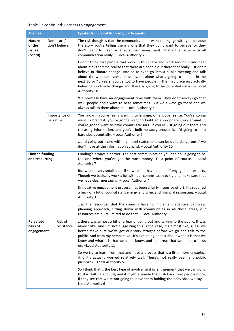## Table 13 continued: Barriers to engagement

| <b>Themes</b>                                |                              | <b>Quotes from Local Authority participants</b>                                                                                                                                                                                                                                                                                                                                                                                                                                                                        |
|----------------------------------------------|------------------------------|------------------------------------------------------------------------------------------------------------------------------------------------------------------------------------------------------------------------------------------------------------------------------------------------------------------------------------------------------------------------------------------------------------------------------------------------------------------------------------------------------------------------|
| <b>Nature</b><br>of the<br>issues<br>(contd) | Don't care/<br>don't believe | The risk though is that the community don't want to engage with you because<br>the story you're telling them is one that they don't want to believe, or they<br>don't want to hear or affects their investment. That's the issue with all<br>communication really. - Local Authority 7                                                                                                                                                                                                                                 |
|                                              |                              | I don't think that people that work in this space and work around it and hear<br>about it all the time realize that there are people out there that really just don't<br>believe in climate changeAnd so to even go into a public meeting and talk<br>about the weather events or issues, let alone what's going to happen in the<br>next 30 or 40 years, you've got to have people in the first place just actually<br>believing in climate change and there is going to be potential issues. - Local<br>Authority 10 |
|                                              |                              | We normally have an engagement time with them. They don't always go that<br>well, people don't want to hear sometimes. But we always go there and we<br>always talk to them about it. - Local Authority 6                                                                                                                                                                                                                                                                                                              |
| Importance of<br>narrative                   |                              | You know if you're really wanting to engage, on a global sense. You're gonna<br>want to brand it, you're gonna want to build an appropriate story around it,<br>you're gonna want to have comms advisorsIf you're just going out there and<br>releasing information, and you've built no story around it. It'd going to be a<br>hard slog potentially. - Local Authority 7                                                                                                                                             |
|                                              |                              | and going out there with high level statements can be quite dangerous if we<br>don't have all the information at hand. - Local Authority 10                                                                                                                                                                                                                                                                                                                                                                            |
| <b>Limited funding</b><br>and resourcing     |                              | Funding's always a barrier. The best communication you can do, is going to be<br>the one where you've got the most money. To a point of course. - Local<br>Authority 7                                                                                                                                                                                                                                                                                                                                                 |
|                                              |                              | But we're a very small council so we don't have a team of engagement experts.<br>Though we basically work a lot with our comms team to try and make sure that<br>we have clear messaging. - Local Authority 4                                                                                                                                                                                                                                                                                                          |
|                                              |                              | [Innovative engagement process] has been a fairly intensive effort. It's required<br>a heck of a lot of council staff, energy and time, and financial resourcing. - Local<br>Authority 3                                                                                                                                                                                                                                                                                                                               |
|                                              |                              | so the resources that the councils have to implement adaptive pathways<br>planning approach, sitting down with communities in all these areas, our<br>resources are quite limited to do that. - Local Authority 5                                                                                                                                                                                                                                                                                                      |
| Perceived<br>risks of<br>engagement          | Risk of<br>resistance        | there was almost a bit of a fear of going out and talking to the public. It was<br>almost like, and I'm not suggesting this is the case, it's almost like, guess we<br>better make sure we've got our story straight before we go and talk to the<br>public. And from my perspectiveit's just being honest about what it is that we<br>know and what it is that we don't know, and the areas that we need to focus<br>on. - Local Authority 11                                                                         |
|                                              |                              | So we try to learn from that and have a process that is a little more engaging.<br>And it's actually worked relatively well. There's not really been any public<br>pushback - Local Authority 5                                                                                                                                                                                                                                                                                                                        |
|                                              |                              | So I think that is the best type of involvement or engagement that we can do, is<br>to start talking about it, and it might alleviate the push back from people more,<br>if they see that we're not going to leave them holding the baby shall we say. $-$<br>Local Authority 6                                                                                                                                                                                                                                        |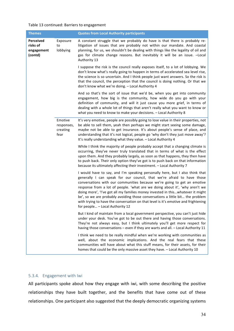#### Table 13 continued: Barriers to engagement

| <b>Themes</b>                                  |                                           | <b>Quotes from Local Authority participants</b>                                                                                                                                                                                                                                                                                                                                                                                                                                                                                                                                                               |
|------------------------------------------------|-------------------------------------------|---------------------------------------------------------------------------------------------------------------------------------------------------------------------------------------------------------------------------------------------------------------------------------------------------------------------------------------------------------------------------------------------------------------------------------------------------------------------------------------------------------------------------------------------------------------------------------------------------------------|
| Perceived<br>risks of<br>engagement<br>(contd) | Exposure<br>to<br>lobbying                | A constant struggle that we probably do have is that there is probably re-<br>litigation of issues that are probably not within our mandate. And coastal<br>planning, for us, we shouldn't be dealing with things like the legality of oil and<br>gas for climate change reasons. But inevitably it will be an issue. - Local<br>Authority 13                                                                                                                                                                                                                                                                 |
|                                                |                                           | I suppose the risk is the council really exposes itself, to a lot of lobbying. We<br>don't know what's really going to happen in terms of accelerated sea level rise,<br>the science is so uncertain. And I think people just want answers. So the risk is<br>that the council, the perception that the council is doing nothing. Or that we<br>don't know what we're doing. - Local Authority 4                                                                                                                                                                                                              |
|                                                |                                           | And so that's the sort of issue that we'd be, when you get into community<br>engagement, how big is the community, how wide do you go with your<br>definition of community, and will it just cause you more grief, in terms of<br>dealing with a whole lot of things that aren't really what you want to know or<br>what you need to know to make your decisions. - Local Authority 8                                                                                                                                                                                                                         |
|                                                | Emotive<br>responses,<br>creating<br>fear | It's very emotive, people are possibly going to lose value in their properties, not<br>be able to sell them, yeah then perhaps we might start seeing some damage,<br>maybe not be able to get insurance. It's about people's sense of place, and<br>understanding that it's not logical, people go 'why don't they just move away'?<br>It's really understanding what they value. - Local Authority 4                                                                                                                                                                                                         |
|                                                |                                           | While I think the majority of people probably accept that a changing climate is<br>occurring, they've never truly translated that in terms of what is the effect<br>upon them. And they probably largely, as soon as that happens, they then have<br>to push back. Their only option they've got is to push back on that information<br>because its ultimately affecting their investment. - Local Authority 7                                                                                                                                                                                                |
|                                                |                                           | I would have to say, and I'm speaking personally here, but I also think that<br>generally I can speak for our council, that we're afraid to have those<br>conversations with our communities because we're going to get an emotive<br>response from a lot of people. 'what are we doing about it', 'why aren't we<br>doing more', 'I've got all my families money invested in thiswhatever it might<br>be', so we are probably avoiding those conversations a little bit the problem<br>with trying to have the conversation on that level is it's emotive and frightening<br>for people - Local Authority 12 |
|                                                |                                           | But I kind of maintain from a local government perspective, you can't just hide<br>under your desk. You've got to be out there and having those conversations.<br>They're not always easy, but I think ultimately you'll get more respect for<br>having those conversations - even if they are warts and all. - Local Authority 11                                                                                                                                                                                                                                                                            |
|                                                |                                           | I think we need to be really mindful when we're working with communities as<br>well, about the economic implications. And the real fears that these<br>communities will have about what this stuff means, for their assets, for their<br>homes that could be the only massive asset they have. - Local Authority 10                                                                                                                                                                                                                                                                                           |

## 5.3.4. Engagement with Iwi

All participants spoke about how they engage with iwi, with some describing the positive relationships they have built together, and the benefits that have come out of these relationships. One participant also suggested that the deeply democratic organizing systems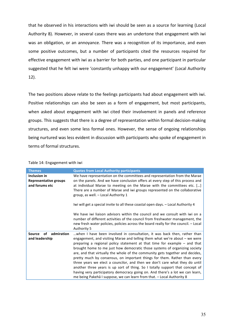that he observed in his interactions with iwi should be seen as a source for learning (Local Authority 8). However, in several cases there was an undertone that engagement with iwi was an obligation, or an annoyance. There was a recognition of its importance, and even some positive outcomes, but a number of participants cited the resources required for effective engagement with iwi as a barrier for both parties, and one participant in particular suggested that he felt iwi were 'constantly unhappy with our engagement' (Local Authority 12). 

The two positions above relate to the feelings participants had about engagement with iwi. Positive relationships can also be seen as a form of engagement, but most participants, when asked about engagement with iwi cited their involvement in panels and reference groups. This suggests that there is a degree of representation within formal decision-making structures, and even some less formal ones. However, the sense of ongoing relationships being nurtured was less evident in discussion with participants who spoke of engagement in terms of formal structures.

| <b>Themes</b>                                                  | <b>Quotes from Local Authority participants</b>                                                                                                                                                                                                                                                                                                                                                                                                                                                                                                                                                                                                                                                                                                                                                            |
|----------------------------------------------------------------|------------------------------------------------------------------------------------------------------------------------------------------------------------------------------------------------------------------------------------------------------------------------------------------------------------------------------------------------------------------------------------------------------------------------------------------------------------------------------------------------------------------------------------------------------------------------------------------------------------------------------------------------------------------------------------------------------------------------------------------------------------------------------------------------------------|
| Inclusion in<br><b>Representative groups</b><br>and forums etc | We have representation on the committees and representation from the Marae<br>on the panels. And we have conclusion offers at every step of this process and<br>at individual Marae to meeting on the Marae with the committees etc. []<br>There are a number of Marae and iwi groups represented on the collaborative<br>group, as well. - Local Authority 1                                                                                                                                                                                                                                                                                                                                                                                                                                              |
|                                                                | Iwi will get a special invite to all these coastal open days. - Local Authority 4                                                                                                                                                                                                                                                                                                                                                                                                                                                                                                                                                                                                                                                                                                                          |
|                                                                | We have iwi liaison advisors within the council and we consult with iwi on a<br>number of different activities of the council from freshwater management, the<br>new fresh water policies, policies across the board really for the council. - Local<br>Authority 5                                                                                                                                                                                                                                                                                                                                                                                                                                                                                                                                        |
| admiration<br><b>Source</b><br>οf<br>and leadership            | when I have been involved in consultation, it was back then, rather than<br>engagement, and visiting Marae and telling them what we're about – we were<br>preparing a regional policy statement at that time for example – and that<br>brought home to me just how democratic those systems of organizing society<br>are, and that virtually the whole of the community gets together and decides,<br>pretty much by consensus, on important things for them. Rather than every<br>three years we elect a councilor, and then we don't care what they do until<br>another three years is up sort of thing. So I totally support that concept of<br>having very participatory democracy going on. And there's a lot we can learn,<br>me being Pakehā I suppose, we can learn from that. - Local Authority 8 |

Table 14: Engagement with iwi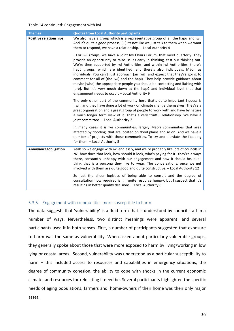#### Table 14 continued: Engagement with iwi

| <b>Themes</b>                 | <b>Quotes from Local Authority participants</b>                                                                                                                                                                                                                                                                                                                                                                                                                                                                                                                                                                                                                                                               |
|-------------------------------|---------------------------------------------------------------------------------------------------------------------------------------------------------------------------------------------------------------------------------------------------------------------------------------------------------------------------------------------------------------------------------------------------------------------------------------------------------------------------------------------------------------------------------------------------------------------------------------------------------------------------------------------------------------------------------------------------------------|
| <b>Positive relationships</b> | We also have a group which is a representative group of all the hapu and iwi.<br>And it's quite a good process, [] Its not like we just talk to them when we want<br>them to respond, we have a relationship. - Local Authority 4                                                                                                                                                                                                                                                                                                                                                                                                                                                                             |
|                               | For iwi groups, we have a Joint Iwi Chairs Forum, that meet quarterly. They<br>provide an opportunity to raise issues early in thinking, test our thinking out.<br>We're then supported by Iwi Authorities, and within Iwi Authorities, there's<br>hapū groups, which are identified, and there's also individuals, Māori as<br>individuals. You can't just approach [an iwi] and expect that they're going to<br>comment for all of [the iwi] and the hapū. They help provide guidance about<br>maybe [who] the appropriate people you should be contacting and liaising with<br>[are]. But it's very much down at the hapū and individual level that that<br>engagement needs to occur. - Local Authority 9 |
|                               | The only other part of the community here that's quite important I guess is<br>[iwi], and they have done a lot of work on climate change themselves. They're a<br>great organisation and a great group of people to work with and have by nature<br>a much longer term view of it. That's a very fruitful relationship. We have a<br>joint committee. - Local Authority 2                                                                                                                                                                                                                                                                                                                                     |
|                               | In many cases it is iwi communities, largely Māori communities that area<br>affected by flooding, that are located on flood plains and so on. And we have a<br>number of projects with those communities. To try and alleviate the flooding<br>for them. - Local Authority 5                                                                                                                                                                                                                                                                                                                                                                                                                                  |
| Annoyance/obligation          | Yeah so we engage with iwi endlessly, and we're probably like lots of councils in<br>NZ, how does that look, how should it look, who's paying for itthey're always<br>there, constantly unhappy with our engagement and how it should be, but I<br>think that is a persona they like to wear. The conversations, once we get<br>involved with them are quite good and quite constructive. - Local Authority 12                                                                                                                                                                                                                                                                                                |
|                               | So just the sheer logistics of being able to consult and the degree of<br>consultation now required is [] quite resource hungry, but I suspect that it's<br>resulting in better quality decisions. - Local Authority 8                                                                                                                                                                                                                                                                                                                                                                                                                                                                                        |

## 5.3.5. Engagement with communities more susceptible to harm

The data suggests that 'vulnerability' is a fluid term that is understood by council staff in a number of ways. Nevertheless, two distinct meanings were apparent, and several participants used it in both senses. First, a number of participants suggested that exposure to harm was the same as vulnerability. When asked about particularly vulnerable groups, they generally spoke about those that were more exposed to harm by living/working in low lying or coastal areas. Second, vulnerability was understood as a particular susceptibility to harm  $-$  this included access to resources and capabilities in emergency situations, the degree of community cohesion, the ability to cope with shocks in the current economic climate, and resources for relocating if need be. Several participants highlighted the specific needs of aging populations, farmers and, home-owners if their home was their only major asset.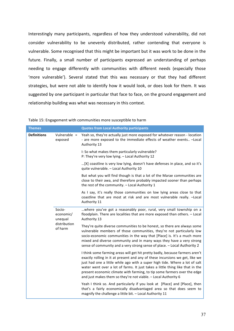Interestingly many participants, regardless of how they understood vulnerability, did not consider vulnerability to be unevenly distributed, rather contending that everyone is vulnerable. Some recognised that this might be important but it was work to be done in the future. Finally, a small number of participants expressed an understanding of perhaps needing to engage differently with communities with different needs (especially those 'more vulnerable'). Several stated that this was necessary or that they had different strategies, but were not able to identify how it would look, or does look for them. It was suggested by one participant in particular that face to face, on the ground engagement and relationship building was what was necessary in this context.

| <b>Themes</b>      |                                | <b>Quotes from Local Authority participants</b>                                                                                                                                                                                                                                                                                                                                                                                                                            |
|--------------------|--------------------------------|----------------------------------------------------------------------------------------------------------------------------------------------------------------------------------------------------------------------------------------------------------------------------------------------------------------------------------------------------------------------------------------------------------------------------------------------------------------------------|
| <b>Definitions</b> | Vulnerable $=$<br>exposed      | Yeah so, they're actually just more exposed for whatever reason - location<br>- are more exposed to the immediate effects of weather events - Local<br>Authority 13                                                                                                                                                                                                                                                                                                        |
|                    |                                | I: So what makes them particularly vulnerable?<br>P: They're very low lying. - Local Authority 12                                                                                                                                                                                                                                                                                                                                                                          |
|                    |                                | [X] coastline is very low lying, doesn't have defenses in place, and so it's<br>quite vulnerable. - Local Authority 10                                                                                                                                                                                                                                                                                                                                                     |
|                    |                                | But what you will find though is that a lot of the Marae communities are<br>close to their awa, and therefore probably impacted sooner than perhaps<br>the rest of the community. - Local Authority 1                                                                                                                                                                                                                                                                      |
|                    |                                | As I say, it's really those communities on low lying areas close to that<br>coastline that are most at risk and are most vulnerable really. - Local<br>Authority 11                                                                                                                                                                                                                                                                                                        |
|                    | Socio-<br>economic/<br>unequal | where you've got a reasonably poor, rural, very small township on a<br>floodplain. There are localities that are more exposed than others. - Local<br>Authority 13                                                                                                                                                                                                                                                                                                         |
|                    | distribution<br>of harm        | They're quite diverse communities to be honest, so there are always some<br>vulnerable members of those communities, they're not particularly low<br>socio-economic communities in the way that [Place] is. It's a much more<br>mixed and diverse community and in many ways they have a very strong<br>sense of community and a very strong sense of place. - Local Authority 2                                                                                           |
|                    |                                | I think some farming areas will get hit pretty badly, because farmers aren't<br>exactly rolling in it at present and any of these incursions we get, like we<br>just had one a little while ago with a super high tide. Where a lot of salt<br>water went over a lot of farms. It just takes a little thing like that in the<br>present economic climate with farming, to tip some farmers over the edge<br>and just makes them so they're not viable. - Local Authority 6 |
|                    |                                | Yeah I think so. And particularly if you look at [Place] and [Place], then<br>that's a fairly economically disadvantaged area so that does seem to<br>magnify the challenge a little bit. - Local Authority 11                                                                                                                                                                                                                                                             |

#### Table 15: Engagement with communities more susceptible to harm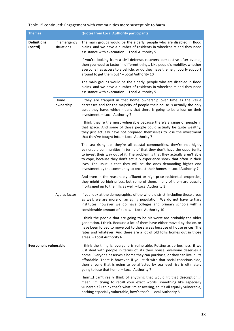## Table 15 continued: Engagement with communities more susceptible to harm

| <b>Themes</b>                 |                            | <b>Quotes from Local Authority participants</b>                                                                                                                                                                                                                                                                                                                                                                                                                  |
|-------------------------------|----------------------------|------------------------------------------------------------------------------------------------------------------------------------------------------------------------------------------------------------------------------------------------------------------------------------------------------------------------------------------------------------------------------------------------------------------------------------------------------------------|
| <b>Definitions</b><br>(contd) | In emergency<br>situations | The main groups would be the elderly, people who are disabled in flood<br>plains, and we have a number of residents in wheelchairs and they need<br>assistance with evacuation. - Local Authority 5                                                                                                                                                                                                                                                              |
|                               |                            | If you're looking from a civil defense, recovery perspective after events,<br>then you need to factor in different things. Like people's mobility, whether<br>everyone has access to a vehicle, or do they have the neighbourly support<br>around to get them out? - Local Authority 10                                                                                                                                                                          |
|                               |                            | The main groups would be the elderly, people who are disabled in flood<br>plains, and we have a number of residents in wheelchairs and they need<br>assistance with evacuation. - Local Authority 5                                                                                                                                                                                                                                                              |
|                               | Home<br>ownership          | they are trapped in that home ownership over time as the value<br>decreases and for the majority of people their house is actually the only<br>asset they have, which means that there is going to be a loss on their<br>investment. - Local Authority 7                                                                                                                                                                                                         |
|                               |                            | I think they're the most vulnerable because there's a range of people in<br>that space. And some of those people could actually be quite wealthy,<br>they just actually have not prepared themselves to lose the investment<br>that they've bought into. - Local Authority 7                                                                                                                                                                                     |
|                               |                            | The sea rising up, they're all coastal communities, they're not highly<br>vulnerable communities in terms of that they don't have the opportunity<br>to invest their way out of it. The problem is that they actually aren't able<br>to cope, because they don't actually experience shock that often in their<br>lives. The issue is that they will be the ones demanding higher end<br>investment by the community to protect their homes. - Local Authority 7 |
|                               |                            | And even in the reasonably affluent or high price residential properties,<br>they might be high prices, but some of them, many of them are equally<br>mortgaged up to the hills as well. - Local Authority 3                                                                                                                                                                                                                                                     |
|                               | Age as factor              | If you look at the demographics of the whole district, including those areas<br>as well, we are more of an aging population. We do not have tertiary<br>institutes, however we do have colleges and primary schools with a<br>considerable amount of pupils. - Local Authority 10                                                                                                                                                                                |
|                               |                            | I think the people that are going to be hit worst are probably the older<br>generation, I think. Because a lot of them have either moved by choice, or<br>have been forced to move out to those areas because of house prices. The<br>rates and whatever. And there are a lot of old folks homes out in those<br>areas. - Local Authority 6                                                                                                                      |
| Everyone is vulnerable        |                            | I think the thing is, everyone is vulnerable. Putting aside business, if we<br>just deal with people in terms of, its their house, everyone deserves a<br>home. Everyone deserves a home they can purchase, or they can live in, its<br>affordable. There is however, if you stick with that social conscious side,<br>then anyone that is going to be affected by sea level rise is ultimately<br>going to lose that home. - Local Authority 7                  |
|                               |                            | HmmI can't really think of anything that would fit that description I<br>mean I'm trying to recall your exact wordssomething like especially<br>vulnerable? I think that's what I'm answering, so it's all equally vulnerable,<br>nothing especially vulnerable, how's that? - Local Authority 8                                                                                                                                                                 |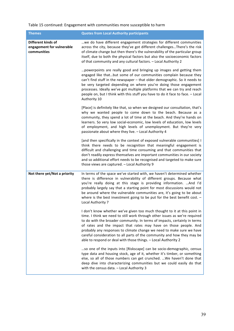## Table 15 continued: Engagement with communities more susceptible to harm

| <b>Themes</b>                                                  | <b>Quotes from Local Authority participants</b>                                                                                                                                                                                                                                                                                                                                                                                                                                                                               |
|----------------------------------------------------------------|-------------------------------------------------------------------------------------------------------------------------------------------------------------------------------------------------------------------------------------------------------------------------------------------------------------------------------------------------------------------------------------------------------------------------------------------------------------------------------------------------------------------------------|
| Different kinds of<br>engagement for vulnerable<br>communities | we do have different engagement strategies for different communities<br>across the city, because they've got different challengesThere's the risk<br>of climate change but then there's the vulnerability of the particular group<br>itself, due to both the physical factors but also the socioeconomic factors<br>of that community and any cultural factors. - Local Authority 2                                                                                                                                           |
|                                                                | powerpoints are really good and bringing up images and getting them<br>engaged like thatbut some of our communities complain because they<br>can't find stuff in the newspaper - that older demographic. So it needs to<br>be very targeted depending on where you're doing those engagement<br>processes. Ideally we've got multiple platforms that we can try and reach<br>people on, but I think with this stuff you have to do it face to face. - Local<br>Authority 10                                                   |
|                                                                | [Place] is definitely like that, so when we designed our consultation, that's<br>why we wanted people to come down to the beach. Because as a<br>community, they spend a lot of time at the beach. And they're hands on<br>learners. So very low social-economic, low levels of education, low levels<br>of employment, and high levels of unemployment. But they're very<br>passionate about where they live. - Local Authority 4                                                                                            |
|                                                                | [and then specifically in the context of exposed vulnerable communities] I<br>think there needs to be recognition that meaningful engagement is<br>difficult and challenging and time consuming and that communities that<br>don't readily express themselves are important communities in our society<br>and so additional effort needs to be recognised and targeted to make sure<br>those views are captured. - Local Authority 9                                                                                          |
| Not there yet/Not a priority                                   | In terms of the space we've started with, we haven't determined whether<br>there is difference in vulnerability of different groups. Because what<br>you're really doing at this stage is providing information.  And I'd<br>probably largely say that a starting point for most discussions would not<br>be around where the vulnerable communities are, it's going to be about<br>where is the best investment going to be put for the best benefit cost. $-$<br>Local Authority 7                                          |
|                                                                | I don't know whether we've given too much thought to it at this point in<br>time. I think we need to still work through other issues as we're required<br>to do with the broader community. In terms of impacts, certainly in terms<br>of rates and the impact that rates may have on those people. And<br>probably any responses to climate change we need to make sure we have<br>careful consideration to all parts of the community and how they may be<br>able to respond or deal with those things. - Local Authority 2 |
|                                                                | so one of the inputs into [Riskscape] can be socio-demographic, census<br>type data and housing stock, age of it, whether it's timber, or something<br>else, so all of those numbers can get crunched.  We haven't done that<br>deep dive into characterizing communities but we could easily do that<br>with the census data. - Local Authority 3                                                                                                                                                                            |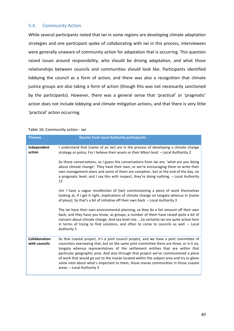## 5.4. Community Action

While several participants noted that iwi in some regions are developing climate adaptation strategies and one participant spoke of collaborating with iwi in this process, interviewees were generally unaware of community action for adaptation that is occurring. This question raised issues around responsibility, who should be driving adaptation, and what those relationships between councils and communities should look like. Participants identified lobbying the council as a form of action, and there was also a recognition that climate justice groups are also taking a form of action (though this was not necessarily sanctioned by the participants). However, there was a general sense that 'practical' or 'pragmatic' action does not include lobbying and climate mitigation actions, and that there is very little 'practical' action occurring.

| <b>Themes</b>                         | <b>Quotes from Local Authority participants</b>                                                                                                                                                                                                                                                                                                                                                                                                                                                                                                                                 |
|---------------------------------------|---------------------------------------------------------------------------------------------------------------------------------------------------------------------------------------------------------------------------------------------------------------------------------------------------------------------------------------------------------------------------------------------------------------------------------------------------------------------------------------------------------------------------------------------------------------------------------|
| Independent<br>action                 | I understand that [name of an iwi] are in the process of developing a climate change<br>strategy or policy. For I believe their assets or their Māori land. - Local Authority 2                                                                                                                                                                                                                                                                                                                                                                                                 |
|                                       | So those conversations, so I guess the conversations from iwi are, 'what are you doing<br>about climate change'. They have their own, or we're encouraging them to write their<br>own management plans and some of them are completebut at the end of the day, on<br>a pragmatic level, and I say this with respect, they're doing nothing. - Local Authority<br>12                                                                                                                                                                                                             |
|                                       | Um I have a vague recollection of [iwi] commissioning a piece of work themselves<br>looking at, if I get it right, implications of climate change on tangata whenua in [name<br>of place]. So that's a bit of initiative off their own back. - Local Authority 3                                                                                                                                                                                                                                                                                                                |
|                                       | The iwi have their own environmental planning, so they do a fair amount off their own<br>back, and they have you know, as groups, a number of them have raised quite a bit of<br>concern about climate change. And sea level rise.  So certainly iwi are quite active here<br>in terms of trying to find solutions, and often to come to councils as well. - Local<br><b>Authority 5</b>                                                                                                                                                                                        |
| <b>Collaboration</b><br>with councils | So that coastal project, it's a joint council project, and we have a joint committee of<br>councilors overseeing that, but on the same joint committee there are three, or is it six,<br>tangata whenua representatives of the settlement entities that are within that<br>particular geographic area. And also through that project we've commissioned a piece<br>of work that would go out to the marae located within the subject area and try to glean<br>some intel about what's important to them, those marae communities in those coastal<br>areas. - Local Authority 3 |

Table 16: Community action - iwi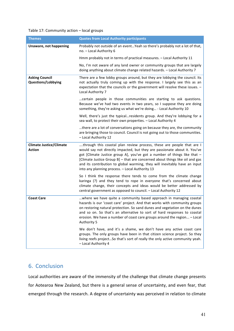## Table 17: Community action - local groups

| <b>Themes</b>                                      | <b>Quotes from Local Authority participants</b>                                                                                                                                                                                                                                                                                                                                                                                                 |
|----------------------------------------------------|-------------------------------------------------------------------------------------------------------------------------------------------------------------------------------------------------------------------------------------------------------------------------------------------------------------------------------------------------------------------------------------------------------------------------------------------------|
| Unaware, not happening                             | Probably not outside of an event Yeah so there's probably not a lot of that,<br>no. - Local Authority 6                                                                                                                                                                                                                                                                                                                                         |
|                                                    | Hmm probably not in terms of practical measures. - Local Authority 11                                                                                                                                                                                                                                                                                                                                                                           |
|                                                    | No, I'm not aware of any land owner or community groups that are largely<br>doing anything about climate change related hazards. - Local Authority 7                                                                                                                                                                                                                                                                                            |
| <b>Asking Council</b><br><b>Questions/Lobbying</b> | There are a few lobby groups around, but they are lobbying the council. Its<br>not actually truly coming up with the response. I largely see this as an<br>expectation that the councils or the government will resolve these issues. -<br>Local Authority 7                                                                                                                                                                                    |
|                                                    | certain people in those communities are starting to ask questions.<br>Because we've had two events in two years, so I suppose they are doing<br>something, they're asking us what we're doing - Local Authority 10                                                                                                                                                                                                                              |
|                                                    | Well, there's just the typicalresidents group. And they're lobbying for a<br>sea wall, to protect their own properties. - Local Authority 4                                                                                                                                                                                                                                                                                                     |
|                                                    | there are a lot of conversations going on because they are, the community<br>are bringing those to council. Council is not going out to those communities.<br>- Local Authority 12                                                                                                                                                                                                                                                              |
| <b>Climate Justice/Climate</b><br><b>Action</b>    | through this coastal plan review process, these are people that are I<br>would say not directly impacted, but they are passionate about it. You've<br>got [Climate Justice group A], you've got a number of things like that -<br>[Climate Justice Group B] - that are concerned about things like oil and gas<br>and its contribution to global warming, they will inevitably have an input<br>into any planning process. - Local Authority 13 |
|                                                    | So I think the response there tends to come from the climate change<br>karinga (?) and they tend to rope in everyone that's concerned about<br>climate change, their concepts and ideas would be better addressed by<br>central government as opposed to council. - Local Authority 12                                                                                                                                                          |
| <b>Coast Care</b>                                  | where we have quite a community based approach in managing coastal<br>hazards is our 'coast care' project. And that works with community groups<br>on restoring natural protection. So sand dunes and vegetation on the dunes<br>and so on. So that's an alternative to sort of hard responses to coastal<br>erosion. We have a number of coast care groups around the region - Local<br>Authority 5                                            |
|                                                    | We don't have, and it's a shame, we don't have any active coast care<br>groups. The only groups have been in that citizen science project. So they<br>living reefs project So that's sort of really the only active community yeah.<br>- Local Authority 4                                                                                                                                                                                      |

# 6. Conclusion

Local authorities are aware of the immensity of the challenge that climate change presents for Aotearoa New Zealand, but there is a general sense of uncertainty, and even fear, that emerged through the research. A degree of uncertainty was perceived in relation to climate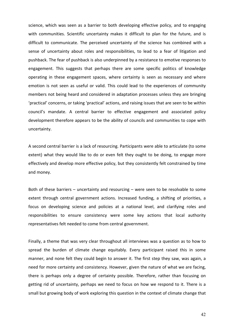science, which was seen as a barrier to both developing effective policy, and to engaging with communities. Scientific uncertainty makes it difficult to plan for the future, and is difficult to communicate. The perceived uncertainty of the science has combined with a sense of uncertainty about roles and responsibilities, to lead to a fear of litigation and pushback. The fear of pushback is also underpinned by a resistance to emotive responses to engagement. This suggests that perhaps there are some specific politics of knowledge operating in these engagement spaces, where certainty is seen as necessary and where emotion is not seen as useful or valid. This could lead to the experiences of community members not being heard and considered in adaptation processes unless they are bringing 'practical' concerns, or taking 'practical' actions, and raising issues that are seen to be within council's mandate. A central barrier to effective engagement and associated policy development therefore appears to be the ability of councils and communities to cope with uncertainty. 

A second central barrier is a lack of resourcing. Participants were able to articulate (to some extent) what they would like to do or even felt they ought to be doing, to engage more effectively and develop more effective policy, but they consistently felt constrained by time and money.

Both of these barriers  $-$  uncertainty and resourcing  $-$  were seen to be resolvable to some extent through central government actions. Increased funding, a shifting of priorities, a focus on developing science and policies at a national level, and clarifying roles and responsibilities to ensure consistency were some key actions that local authority representatives felt needed to come from central government.

Finally, a theme that was very clear throughout all interviews was a question as to how to spread the burden of climate change equitably. Every participant raised this in some manner, and none felt they could begin to answer it. The first step they saw, was again, a need for more certainty and consistency. However, given the nature of what we are facing, there is perhaps only a degree of certainty possible. Therefore, rather than focusing on getting rid of uncertainty, perhaps we need to focus on how we respond to it. There is a small but growing body of work exploring this question in the context of climate change that

42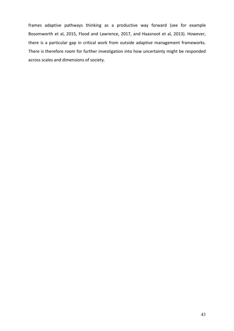frames adaptive pathways thinking as a productive way forward (see for example Bosomworth et al, 2015, Flood and Lawrence, 2017, and Haasnoot et al, 2013). However, there is a particular gap in critical work from outside adaptive management frameworks. There is therefore room for further investigation into how uncertainty might be responded across scales and dimensions of society.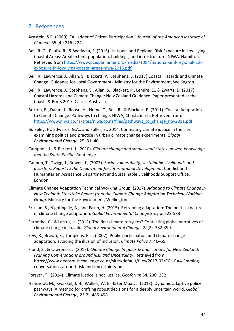## 7. References

- Arnstein, S.R. (1969). "A Ladder of Citizen Participation." *Journal of the American Institute of Planners* 35 (4): 216–224.
- Bell, R. G., Paulik, R., & Wadwha, S. (2015). National and Regional Risk Exposure in Low Lying Coastal Areas: Areal extent, population, buildings, and infrastructure. NIWA, Hamilton. Retrieved from https://www.pce.parliament.nz/media/1384/national-and-regional-riskexposure-in-low-lying-coastal-areas-niwa-2015.pdf
- Bell, R., Lawrence, J., Allan, S., Blackett, P., Stephens, S. (2017) Coastal Hazards and Climate Change: Guidance for Local Government. Ministry for the Environment, Wellington.
- Bell, R., Lawrence, J., Stephens, S., Allan, S., Blackett, P., Lemire, E., & Zwartz, D. (2017). Coastal Hazards and Climate Change: New Zealand Guidance. Paper presented at the Coasts & Ports 2017, Cairns, Australia.
- Britton, R., Dahm, J., Rouse, H., Hume, T., Bell, R., & Blackett, P. (2011). Coastal Adaptation to Climate Change: Pathways to change. NIWA, Christchurch. Retrieved from: https://www.niwa.co.nz/sites/niwa.co.nz/files/pathways\_to\_change\_nov2011.pdf
- Bulkeley, H., Edwards, G.A., and Fuller, S., 2014. Contesting climate justice in the city: examining politics and practice in urban climate change experiments. *Global Environmental Change*, 25, 31–40.
- Campbell, J., & Barnett, J. (2010). *Climate change and small island states: power, knowledge and the South Pacific*. Routledge.
- Cannon, T., Twigg, J., Rowell, J., (2003). *Social vulnerability, sustainable livelihoods and* disasters. Report to the Department for International Development. Conflict and Humanitarian Assistance Department and Sustainable Livelihoods Support Office, London.
- Climate Change Adaptation Technical Working Group. (2017). *Adapting to Climate Change in New Zealand: Stocktake Report from the Climate Change Adaptation Technical Working*  Group. Ministry for the Environment, Wellington.
- Erikson, S., Nightingale, A., and Eakin, H. (2015). Reframing adaptation: The political nature of climate change adaptation. *Global Environmental Change* 35, pp. 523-533.
- Farbotko, C., & Lazrus, H. (2012). The first climate refugees? Contesting global narratives of climate change in Tuvalu. *Global Environmental Change*, 22(2), 382-390.
- Few, R., Brown, K., Tompkins, E.L., (2007). Public participation and climate change adaptation: avoiding the illusion of inclusion. *Climate Policy* 7, 46-59.
- Flood, S., & Lawrence, J. (2017). *Climate Change Impacts & Implications for New Zealand: Framing Conversations around Risk and Uncertainty*. Retrieved from https://www.deepsouthchallenge.co.nz/sites/default/files/2017-02/CCII-RA4-Framingconversations-around-risk-and-uncertainty.pdf
- Forsyth, T., (2014). Climate justice is not just ice. *Geoforum* 54, 230–232
- Haasnoot, M., Kwakkel, J. H., Walker, W. E., & ter Maat, J. (2013). Dynamic adaptive policy pathways: A method for crafting robust decisions for a deeply uncertain world. *Global Environmental Change, 23*(2), 485-498.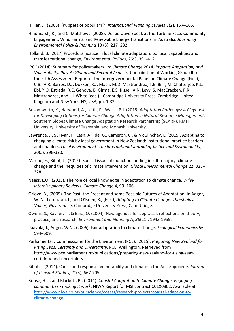Hillier, J., (2003), 'Puppets of populism?', *International Planning Studies* 8(2), 157–166.

- Hindmarsh, R., and C. Matthews. (2008). Deliberative Speak at the Turbine Face: Community Engagement, Wind Farms, and Renewable Energy Transitions, in Australia. Journal of *Environmental Policy & Planning* 10 (3): 217–232.
- Holland, B. (2017) Procedural justice in local climate adaptation: political capabilities and transformational change, *Environmental Politics*, 26:3, 391-412.
- IPCC (2014): Summary for policymakers. In: *Climate Change 2014: Impacts,Adaptation, and Vulnerability. Part A: Global and Sectoral Aspects.* Contribution of Working Group II to the Fifth Assessment Report of the Intergovernmental Panel on Climate Change [Field, C.B., V.R. Barros, D.J. Dokken, K.J. Mach, M.D. Mastrandrea, T.E. Bilir, M. Chatterjee, K.L. Ebi, Y.O. Estrada, R.C. Genova, B. Girma, E.S. Kissel, A.N. Levy, S. MacCracken, P.R. Mastrandrea, and L.L.White (eds.)]. Cambridge University Press, Cambridge, United Kingdom and New York, NY, USA, pp. 1-32.
- Bosomworth, K., Harwood, A., Leith, P., Wallis, P.J. (2015) *Adaptation Pathways: A Playbook* for Developing Options for Climate Change Adaptation in Natural Resource Management, Southern Slopes Climate Change Adaptation Research Partnership (SCARP), RMIT University, University of Tasmania, and Monash University.
- Lawrence, J., Sullivan, F., Lash, A., Ide, G., Cameron, C., & McGlinchey, L. (2015). Adapting to changing climate risk by local government in New Zealand: institutional practice barriers and enablers. *Local Environment: The International Journal of Justice and Sustainability*, 20(3), 298-320.
- Marino, E., Ribot, J., (2012). Special issue introduction: adding insult to injury: climate change and the inequities of climate intervention. *Global Environmental Change* 22, 323– 328.
- Naess, L.O., (2013). The role of local knowledge in adaptation to climate change. Wiley *Interdisciplinary Reviews: Climate Change* 4, 99–106.
- Orlove, B., (2009). The Past, the Present and some Possible Futures of Adaptation. In Adger, W. N., Lorenzoni, I., and O'Brien, K., (Eds.), *Adapting to Climate Change: Thresholds,* Values, Governance. Cambridge University Press, Cam- bridge.
- Owens, S., Rayner, T., & Bina, O. (2004). New agendas for appraisal: reflections on theory, practice, and research. *Environment and Planning A, 36*(11), 1943-1959.
- Paavola, J., Adger, W.N., (2006). Fair adaptation to climate change. *Ecological Economics* 56, 594–609.
- Parliamentary Commissioner for the Environment (PCE). (2015). *Preparing New Zealand for Rising Seas: Certainty and Uncertainty*. PCE, Wellington. Retrieved from http://www.pce.parliament.nz/publications/preparing-new-zealand-for-rising-seascertainty-and-uncertainty
- Ribot, J. (2014). Cause and response: vulnerability and climate in the Anthropocene. *Journal of Peasant Studies*, *41*(5), 667-705
- Rouse, H.L., and Blackett, P., (2011). *Coastal Adaptation to Climate Change: Engaging communities - making it work*. NIWA Report for MSI contract C01X0802. Available at: http://www.niwa.co.nz/ourscience/coasts/research-projects/coastal-adaption-toclimate-change.